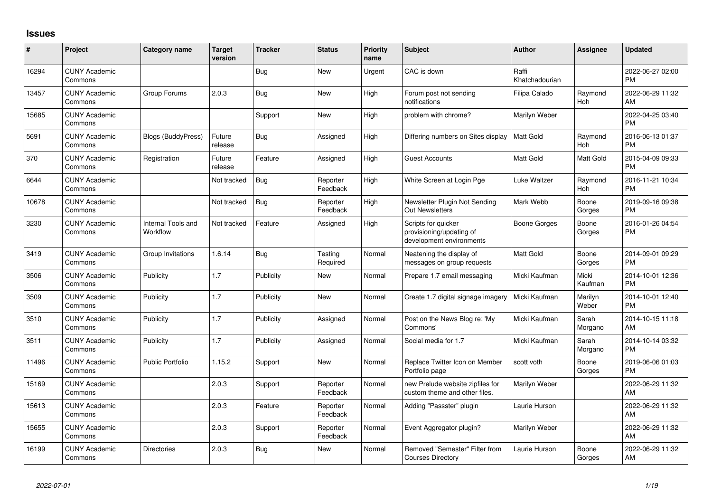## **Issues**

| #     | Project                         | <b>Category name</b>           | <b>Target</b><br>version | <b>Tracker</b> | <b>Status</b>        | Priority<br>name | Subject                                                                     | <b>Author</b>           | Assignee         | <b>Updated</b>                |
|-------|---------------------------------|--------------------------------|--------------------------|----------------|----------------------|------------------|-----------------------------------------------------------------------------|-------------------------|------------------|-------------------------------|
| 16294 | <b>CUNY Academic</b><br>Commons |                                |                          | Bug            | <b>New</b>           | Urgent           | CAC is down                                                                 | Raffi<br>Khatchadourian |                  | 2022-06-27 02:00<br><b>PM</b> |
| 13457 | <b>CUNY Academic</b><br>Commons | Group Forums                   | 2.0.3                    | Bug            | New                  | High             | Forum post not sending<br>notifications                                     | Filipa Calado           | Raymond<br>Hoh   | 2022-06-29 11:32<br><b>AM</b> |
| 15685 | <b>CUNY Academic</b><br>Commons |                                |                          | Support        | New                  | High             | problem with chrome?                                                        | Marilyn Weber           |                  | 2022-04-25 03:40<br><b>PM</b> |
| 5691  | <b>CUNY Academic</b><br>Commons | <b>Blogs (BuddyPress)</b>      | Future<br>release        | Bug            | Assigned             | High             | Differing numbers on Sites display                                          | <b>Matt Gold</b>        | Raymond<br>Hoh   | 2016-06-13 01:37<br><b>PM</b> |
| 370   | <b>CUNY Academic</b><br>Commons | Registration                   | Future<br>release        | Feature        | Assigned             | High             | <b>Guest Accounts</b>                                                       | <b>Matt Gold</b>        | Matt Gold        | 2015-04-09 09:33<br><b>PM</b> |
| 6644  | <b>CUNY Academic</b><br>Commons |                                | Not tracked              | Bug            | Reporter<br>Feedback | High             | White Screen at Login Pge                                                   | Luke Waltzer            | Raymond<br>Hoh   | 2016-11-21 10:34<br><b>PM</b> |
| 10678 | <b>CUNY Academic</b><br>Commons |                                | Not tracked              | Bug            | Reporter<br>Feedback | High             | Newsletter Plugin Not Sending<br><b>Out Newsletters</b>                     | Mark Webb               | Boone<br>Gorges  | 2019-09-16 09:38<br><b>PM</b> |
| 3230  | <b>CUNY Academic</b><br>Commons | Internal Tools and<br>Workflow | Not tracked              | Feature        | Assigned             | High             | Scripts for quicker<br>provisioning/updating of<br>development environments | Boone Gorges            | Boone<br>Gorges  | 2016-01-26 04:54<br><b>PM</b> |
| 3419  | <b>CUNY Academic</b><br>Commons | Group Invitations              | 1.6.14                   | Bug            | Testing<br>Required  | Normal           | Neatening the display of<br>messages on group requests                      | <b>Matt Gold</b>        | Boone<br>Gorges  | 2014-09-01 09:29<br><b>PM</b> |
| 3506  | <b>CUNY Academic</b><br>Commons | Publicity                      | 1.7                      | Publicity      | New                  | Normal           | Prepare 1.7 email messaging                                                 | Micki Kaufman           | Micki<br>Kaufman | 2014-10-01 12:36<br><b>PM</b> |
| 3509  | <b>CUNY Academic</b><br>Commons | Publicity                      | 1.7                      | Publicity      | New                  | Normal           | Create 1.7 digital signage imagery                                          | Micki Kaufman           | Marilyn<br>Weber | 2014-10-01 12:40<br><b>PM</b> |
| 3510  | <b>CUNY Academic</b><br>Commons | Publicity                      | 1.7                      | Publicity      | Assigned             | Normal           | Post on the News Blog re: 'My<br>Commons'                                   | Micki Kaufman           | Sarah<br>Morgano | 2014-10-15 11:18<br>AM        |
| 3511  | <b>CUNY Academic</b><br>Commons | Publicity                      | 1.7                      | Publicity      | Assigned             | Normal           | Social media for 1.7                                                        | Micki Kaufman           | Sarah<br>Morgano | 2014-10-14 03:32<br><b>PM</b> |
| 11496 | <b>CUNY Academic</b><br>Commons | <b>Public Portfolio</b>        | 1.15.2                   | Support        | <b>New</b>           | Normal           | Replace Twitter Icon on Member<br>Portfolio page                            | scott voth              | Boone<br>Gorges  | 2019-06-06 01:03<br><b>PM</b> |
| 15169 | <b>CUNY Academic</b><br>Commons |                                | 2.0.3                    | Support        | Reporter<br>Feedback | Normal           | new Prelude website zipfiles for<br>custom theme and other files.           | Marilyn Weber           |                  | 2022-06-29 11:32<br><b>AM</b> |
| 15613 | <b>CUNY Academic</b><br>Commons |                                | 2.0.3                    | Feature        | Reporter<br>Feedback | Normal           | Adding "Passster" plugin                                                    | Laurie Hurson           |                  | 2022-06-29 11:32<br>AM        |
| 15655 | <b>CUNY Academic</b><br>Commons |                                | 2.0.3                    | Support        | Reporter<br>Feedback | Normal           | Event Aggregator plugin?                                                    | Marilyn Weber           |                  | 2022-06-29 11:32<br>AM        |
| 16199 | <b>CUNY Academic</b><br>Commons | <b>Directories</b>             | 2.0.3                    | Bug            | <b>New</b>           | Normal           | Removed "Semester" Filter from<br><b>Courses Directory</b>                  | Laurie Hurson           | Boone<br>Gorges  | 2022-06-29 11:32<br>AM        |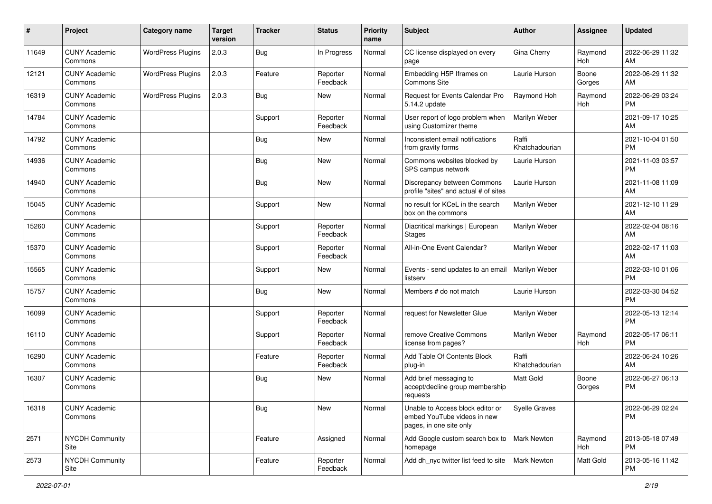| #     | Project                         | <b>Category name</b>     | <b>Target</b><br>version | Tracker    | <b>Status</b>        | <b>Priority</b><br>name | Subject                                                                                    | Author                  | <b>Assignee</b> | <b>Updated</b>                |
|-------|---------------------------------|--------------------------|--------------------------|------------|----------------------|-------------------------|--------------------------------------------------------------------------------------------|-------------------------|-----------------|-------------------------------|
| 11649 | <b>CUNY Academic</b><br>Commons | <b>WordPress Plugins</b> | 2.0.3                    | Bug        | In Progress          | Normal                  | CC license displayed on every<br>page                                                      | Gina Cherry             | Raymond<br>Hoh  | 2022-06-29 11:32<br>AM        |
| 12121 | <b>CUNY Academic</b><br>Commons | <b>WordPress Plugins</b> | 2.0.3                    | Feature    | Reporter<br>Feedback | Normal                  | Embedding H5P Iframes on<br>Commons Site                                                   | Laurie Hurson           | Boone<br>Gorges | 2022-06-29 11:32<br>AM        |
| 16319 | <b>CUNY Academic</b><br>Commons | <b>WordPress Plugins</b> | 2.0.3                    | Bug        | <b>New</b>           | Normal                  | Request for Events Calendar Pro<br>5.14.2 update                                           | Raymond Hoh             | Raymond<br>Hoh  | 2022-06-29 03:24<br><b>PM</b> |
| 14784 | <b>CUNY Academic</b><br>Commons |                          |                          | Support    | Reporter<br>Feedback | Normal                  | User report of logo problem when<br>using Customizer theme                                 | Marilyn Weber           |                 | 2021-09-17 10:25<br>AM        |
| 14792 | <b>CUNY Academic</b><br>Commons |                          |                          | Bug        | New                  | Normal                  | Inconsistent email notifications<br>from gravity forms                                     | Raffi<br>Khatchadourian |                 | 2021-10-04 01:50<br><b>PM</b> |
| 14936 | <b>CUNY Academic</b><br>Commons |                          |                          | <b>Bug</b> | <b>New</b>           | Normal                  | Commons websites blocked by<br>SPS campus network                                          | Laurie Hurson           |                 | 2021-11-03 03:57<br><b>PM</b> |
| 14940 | <b>CUNY Academic</b><br>Commons |                          |                          | Bug        | <b>New</b>           | Normal                  | Discrepancy between Commons<br>profile "sites" and actual # of sites                       | Laurie Hurson           |                 | 2021-11-08 11:09<br>AM        |
| 15045 | <b>CUNY Academic</b><br>Commons |                          |                          | Support    | <b>New</b>           | Normal                  | no result for KCeL in the search<br>box on the commons                                     | Marilyn Weber           |                 | 2021-12-10 11:29<br>AM        |
| 15260 | <b>CUNY Academic</b><br>Commons |                          |                          | Support    | Reporter<br>Feedback | Normal                  | Diacritical markings   European<br><b>Stages</b>                                           | Marilyn Weber           |                 | 2022-02-04 08:16<br>AM        |
| 15370 | <b>CUNY Academic</b><br>Commons |                          |                          | Support    | Reporter<br>Feedback | Normal                  | All-in-One Event Calendar?                                                                 | Marilyn Weber           |                 | 2022-02-17 11:03<br>AM        |
| 15565 | <b>CUNY Academic</b><br>Commons |                          |                          | Support    | <b>New</b>           | Normal                  | Events - send updates to an email<br>listserv                                              | Marilyn Weber           |                 | 2022-03-10 01:06<br><b>PM</b> |
| 15757 | <b>CUNY Academic</b><br>Commons |                          |                          | <b>Bug</b> | <b>New</b>           | Normal                  | Members # do not match                                                                     | Laurie Hurson           |                 | 2022-03-30 04:52<br><b>PM</b> |
| 16099 | <b>CUNY Academic</b><br>Commons |                          |                          | Support    | Reporter<br>Feedback | Normal                  | request for Newsletter Glue                                                                | Marilyn Weber           |                 | 2022-05-13 12:14<br><b>PM</b> |
| 16110 | <b>CUNY Academic</b><br>Commons |                          |                          | Support    | Reporter<br>Feedback | Normal                  | remove Creative Commons<br>license from pages?                                             | Marilyn Weber           | Raymond<br>Hoh  | 2022-05-17 06:11<br><b>PM</b> |
| 16290 | <b>CUNY Academic</b><br>Commons |                          |                          | Feature    | Reporter<br>Feedback | Normal                  | Add Table Of Contents Block<br>plug-in                                                     | Raffi<br>Khatchadourian |                 | 2022-06-24 10:26<br>AM        |
| 16307 | <b>CUNY Academic</b><br>Commons |                          |                          | <b>Bug</b> | New                  | Normal                  | Add brief messaging to<br>accept/decline group membership<br>requests                      | Matt Gold               | Boone<br>Gorges | 2022-06-27 06:13<br><b>PM</b> |
| 16318 | <b>CUNY Academic</b><br>Commons |                          |                          | Bug        | New                  | Normal                  | Unable to Access block editor or<br>embed YouTube videos in new<br>pages, in one site only | Syelle Graves           |                 | 2022-06-29 02:24<br><b>PM</b> |
| 2571  | NYCDH Community<br>Site         |                          |                          | Feature    | Assigned             | Normal                  | Add Google custom search box to<br>homepage                                                | Mark Newton             | Raymond<br>Hoh  | 2013-05-18 07:49<br><b>PM</b> |
| 2573  | NYCDH Community<br>Site         |                          |                          | Feature    | Reporter<br>Feedback | Normal                  | Add dh_nyc twitter list feed to site                                                       | Mark Newton             | Matt Gold       | 2013-05-16 11:42<br><b>PM</b> |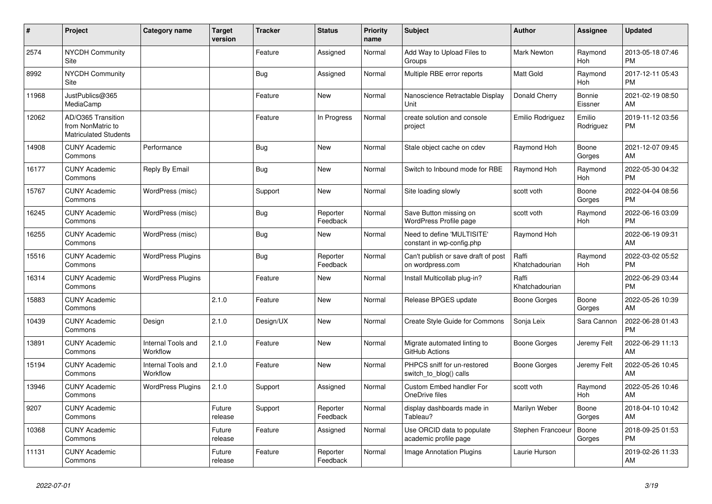| #     | Project                                                                 | <b>Category name</b>           | <b>Target</b><br>version | <b>Tracker</b> | <b>Status</b>        | <b>Priority</b><br>name | <b>Subject</b>                                          | <b>Author</b>           | Assignee            | <b>Updated</b>                |
|-------|-------------------------------------------------------------------------|--------------------------------|--------------------------|----------------|----------------------|-------------------------|---------------------------------------------------------|-------------------------|---------------------|-------------------------------|
| 2574  | <b>NYCDH Community</b><br>Site                                          |                                |                          | Feature        | Assigned             | Normal                  | Add Way to Upload Files to<br>Groups                    | <b>Mark Newton</b>      | Raymond<br>Hoh      | 2013-05-18 07:46<br><b>PM</b> |
| 8992  | <b>NYCDH Community</b><br>Site                                          |                                |                          | Bug            | Assigned             | Normal                  | Multiple RBE error reports                              | <b>Matt Gold</b>        | Raymond<br>Hoh      | 2017-12-11 05:43<br><b>PM</b> |
| 11968 | JustPublics@365<br>MediaCamp                                            |                                |                          | Feature        | <b>New</b>           | Normal                  | Nanoscience Retractable Display<br>Unit                 | Donald Cherry           | Bonnie<br>Eissner   | 2021-02-19 08:50<br>AM        |
| 12062 | AD/O365 Transition<br>from NonMatric to<br><b>Matriculated Students</b> |                                |                          | Feature        | In Progress          | Normal                  | create solution and console<br>project                  | Emilio Rodriguez        | Emilio<br>Rodriguez | 2019-11-12 03:56<br><b>PM</b> |
| 14908 | <b>CUNY Academic</b><br>Commons                                         | Performance                    |                          | Bug            | New                  | Normal                  | Stale object cache on cdev                              | Raymond Hoh             | Boone<br>Gorges     | 2021-12-07 09:45<br>AM        |
| 16177 | <b>CUNY Academic</b><br>Commons                                         | Reply By Email                 |                          | <b>Bug</b>     | <b>New</b>           | Normal                  | Switch to Inbound mode for RBE                          | Raymond Hoh             | Raymond<br>Hoh      | 2022-05-30 04:32<br><b>PM</b> |
| 15767 | <b>CUNY Academic</b><br>Commons                                         | WordPress (misc)               |                          | Support        | <b>New</b>           | Normal                  | Site loading slowly                                     | scott voth              | Boone<br>Gorges     | 2022-04-04 08:56<br><b>PM</b> |
| 16245 | <b>CUNY Academic</b><br>Commons                                         | WordPress (misc)               |                          | Bug            | Reporter<br>Feedback | Normal                  | Save Button missing on<br>WordPress Profile page        | scott voth              | Raymond<br>Hoh      | 2022-06-16 03:09<br><b>PM</b> |
| 16255 | <b>CUNY Academic</b><br>Commons                                         | WordPress (misc)               |                          | <b>Bug</b>     | <b>New</b>           | Normal                  | Need to define 'MULTISITE'<br>constant in wp-config.php | Raymond Hoh             |                     | 2022-06-19 09:31<br>AM        |
| 15516 | <b>CUNY Academic</b><br>Commons                                         | <b>WordPress Plugins</b>       |                          | Bug            | Reporter<br>Feedback | Normal                  | Can't publish or save draft of post<br>on wordpress.com | Raffi<br>Khatchadourian | Raymond<br>Hoh      | 2022-03-02 05:52<br><b>PM</b> |
| 16314 | <b>CUNY Academic</b><br>Commons                                         | <b>WordPress Plugins</b>       |                          | Feature        | New                  | Normal                  | Install Multicollab plug-in?                            | Raffi<br>Khatchadourian |                     | 2022-06-29 03:44<br><b>PM</b> |
| 15883 | <b>CUNY Academic</b><br>Commons                                         |                                | 2.1.0                    | Feature        | <b>New</b>           | Normal                  | Release BPGES update                                    | Boone Gorges            | Boone<br>Gorges     | 2022-05-26 10:39<br>AM        |
| 10439 | <b>CUNY Academic</b><br>Commons                                         | Design                         | 2.1.0                    | Design/UX      | <b>New</b>           | Normal                  | <b>Create Style Guide for Commons</b>                   | Sonja Leix              | Sara Cannon         | 2022-06-28 01:43<br><b>PM</b> |
| 13891 | <b>CUNY Academic</b><br>Commons                                         | Internal Tools and<br>Workflow | 2.1.0                    | Feature        | <b>New</b>           | Normal                  | Migrate automated linting to<br>GitHub Actions          | Boone Gorges            | Jeremy Felt         | 2022-06-29 11:13<br>AM        |
| 15194 | <b>CUNY Academic</b><br>Commons                                         | Internal Tools and<br>Workflow | 2.1.0                    | Feature        | <b>New</b>           | Normal                  | PHPCS sniff for un-restored<br>switch_to_blog() calls   | Boone Gorges            | Jeremy Felt         | 2022-05-26 10:45<br>AM        |
| 13946 | <b>CUNY Academic</b><br>Commons                                         | <b>WordPress Plugins</b>       | 2.1.0                    | Support        | Assigned             | Normal                  | Custom Embed handler For<br>OneDrive files              | scott voth              | Raymond<br>Hoh      | 2022-05-26 10:46<br>AM        |
| 9207  | <b>CUNY Academic</b><br>Commons                                         |                                | Future<br>release        | Support        | Reporter<br>Feedback | Normal                  | display dashboards made in<br>Tableau?                  | Marilyn Weber           | Boone<br>Gorges     | 2018-04-10 10:42<br>AM        |
| 10368 | <b>CUNY Academic</b><br>Commons                                         |                                | Future<br>release        | Feature        | Assigned             | Normal                  | Use ORCID data to populate<br>academic profile page     | Stephen Francoeur       | Boone<br>Gorges     | 2018-09-25 01:53<br><b>PM</b> |
| 11131 | <b>CUNY Academic</b><br>Commons                                         |                                | Future<br>release        | Feature        | Reporter<br>Feedback | Normal                  | Image Annotation Plugins                                | Laurie Hurson           |                     | 2019-02-26 11:33<br>AM        |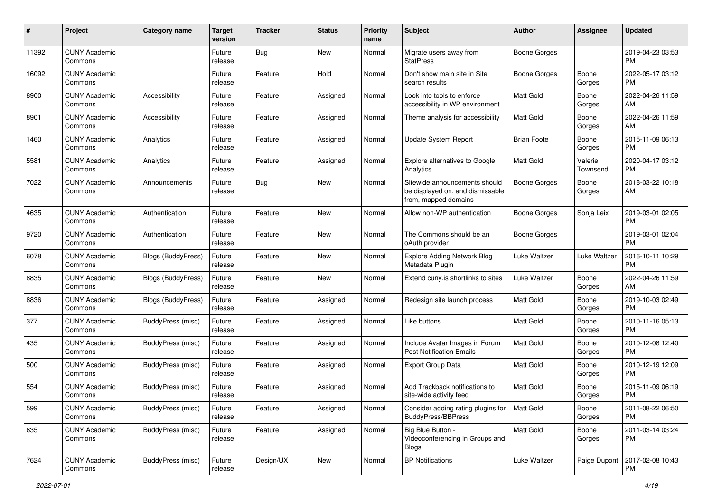| #     | Project                         | <b>Category name</b>      | <b>Target</b><br>version | <b>Tracker</b> | <b>Status</b> | <b>Priority</b><br>name | <b>Subject</b>                                                                            | <b>Author</b>       | <b>Assignee</b>     | <b>Updated</b>                |
|-------|---------------------------------|---------------------------|--------------------------|----------------|---------------|-------------------------|-------------------------------------------------------------------------------------------|---------------------|---------------------|-------------------------------|
| 11392 | <b>CUNY Academic</b><br>Commons |                           | Future<br>release        | <b>Bug</b>     | New           | Normal                  | Migrate users away from<br>StatPress                                                      | Boone Gorges        |                     | 2019-04-23 03:53<br><b>PM</b> |
| 16092 | <b>CUNY Academic</b><br>Commons |                           | Future<br>release        | Feature        | Hold          | Normal                  | Don't show main site in Site<br>search results                                            | <b>Boone Gorges</b> | Boone<br>Gorges     | 2022-05-17 03:12<br><b>PM</b> |
| 8900  | <b>CUNY Academic</b><br>Commons | Accessibility             | Future<br>release        | Feature        | Assigned      | Normal                  | Look into tools to enforce<br>accessibility in WP environment                             | Matt Gold           | Boone<br>Gorges     | 2022-04-26 11:59<br>AM        |
| 8901  | <b>CUNY Academic</b><br>Commons | Accessibility             | Future<br>release        | Feature        | Assigned      | Normal                  | Theme analysis for accessibility                                                          | Matt Gold           | Boone<br>Gorges     | 2022-04-26 11:59<br>AM        |
| 1460  | <b>CUNY Academic</b><br>Commons | Analytics                 | Future<br>release        | Feature        | Assigned      | Normal                  | <b>Update System Report</b>                                                               | <b>Brian Foote</b>  | Boone<br>Gorges     | 2015-11-09 06:13<br><b>PM</b> |
| 5581  | <b>CUNY Academic</b><br>Commons | Analytics                 | Future<br>release        | Feature        | Assigned      | Normal                  | Explore alternatives to Google<br>Analytics                                               | <b>Matt Gold</b>    | Valerie<br>Townsend | 2020-04-17 03:12<br><b>PM</b> |
| 7022  | <b>CUNY Academic</b><br>Commons | Announcements             | Future<br>release        | <b>Bug</b>     | New           | Normal                  | Sitewide announcements should<br>be displayed on, and dismissable<br>from, mapped domains | Boone Gorges        | Boone<br>Gorges     | 2018-03-22 10:18<br>AM        |
| 4635  | <b>CUNY Academic</b><br>Commons | Authentication            | Future<br>release        | Feature        | New           | Normal                  | Allow non-WP authentication                                                               | Boone Gorges        | Sonja Leix          | 2019-03-01 02:05<br><b>PM</b> |
| 9720  | <b>CUNY Academic</b><br>Commons | Authentication            | Future<br>release        | Feature        | New           | Normal                  | The Commons should be an<br>oAuth provider                                                | Boone Gorges        |                     | 2019-03-01 02:04<br><b>PM</b> |
| 6078  | <b>CUNY Academic</b><br>Commons | Blogs (BuddyPress)        | Future<br>release        | Feature        | New           | Normal                  | <b>Explore Adding Network Blog</b><br>Metadata Plugin                                     | Luke Waltzer        | Luke Waltzer        | 2016-10-11 10:29<br><b>PM</b> |
| 8835  | <b>CUNY Academic</b><br>Commons | <b>Blogs (BuddyPress)</b> | Future<br>release        | Feature        | New           | Normal                  | Extend cuny is shortlinks to sites                                                        | Luke Waltzer        | Boone<br>Gorges     | 2022-04-26 11:59<br>AM        |
| 8836  | <b>CUNY Academic</b><br>Commons | <b>Blogs (BuddyPress)</b> | Future<br>release        | Feature        | Assigned      | Normal                  | Redesign site launch process                                                              | <b>Matt Gold</b>    | Boone<br>Gorges     | 2019-10-03 02:49<br><b>PM</b> |
| 377   | <b>CUNY Academic</b><br>Commons | <b>BuddyPress</b> (misc)  | Future<br>release        | Feature        | Assigned      | Normal                  | Like buttons                                                                              | <b>Matt Gold</b>    | Boone<br>Gorges     | 2010-11-16 05:13<br><b>PM</b> |
| 435   | <b>CUNY Academic</b><br>Commons | <b>BuddyPress (misc)</b>  | Future<br>release        | Feature        | Assigned      | Normal                  | Include Avatar Images in Forum<br><b>Post Notification Emails</b>                         | <b>Matt Gold</b>    | Boone<br>Gorges     | 2010-12-08 12:40<br><b>PM</b> |
| 500   | <b>CUNY Academic</b><br>Commons | <b>BuddyPress</b> (misc)  | Future<br>release        | Feature        | Assigned      | Normal                  | <b>Export Group Data</b>                                                                  | Matt Gold           | Boone<br>Gorges     | 2010-12-19 12:09<br><b>PM</b> |
| 554   | <b>CUNY Academic</b><br>Commons | <b>BuddyPress (misc)</b>  | Future<br>release        | Feature        | Assigned      | Normal                  | Add Trackback notifications to<br>site-wide activity feed                                 | <b>Matt Gold</b>    | Boone<br>Gorges     | 2015-11-09 06:19<br><b>PM</b> |
| 599   | <b>CUNY Academic</b><br>Commons | BuddyPress (misc)         | Future<br>release        | Feature        | Assigned      | Normal                  | Consider adding rating plugins for<br>BuddyPress/BBPress                                  | Matt Gold           | Boone<br>Gorges     | 2011-08-22 06:50<br><b>PM</b> |
| 635   | <b>CUNY Academic</b><br>Commons | BuddyPress (misc)         | Future<br>release        | Feature        | Assigned      | Normal                  | Big Blue Button -<br>Videoconferencing in Groups and<br><b>Blogs</b>                      | Matt Gold           | Boone<br>Gorges     | 2011-03-14 03:24<br>PM        |
| 7624  | <b>CUNY Academic</b><br>Commons | BuddyPress (misc)         | Future<br>release        | Design/UX      | New           | Normal                  | <b>BP</b> Notifications                                                                   | Luke Waltzer        | Paige Dupont        | 2017-02-08 10:43<br>PM        |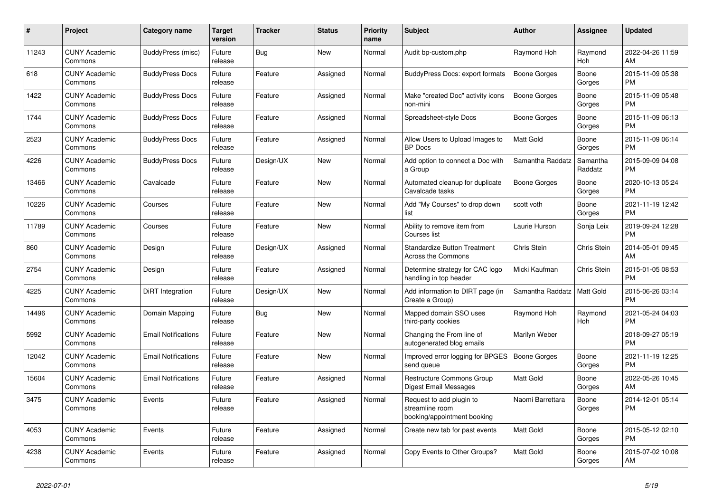| #     | Project                         | Category name              | Target<br>version | Tracker   | <b>Status</b> | <b>Priority</b><br>name | <b>Subject</b>                                                             | <b>Author</b>       | Assignee              | <b>Updated</b>                |
|-------|---------------------------------|----------------------------|-------------------|-----------|---------------|-------------------------|----------------------------------------------------------------------------|---------------------|-----------------------|-------------------------------|
| 11243 | <b>CUNY Academic</b><br>Commons | BuddyPress (misc)          | Future<br>release | Bug       | New           | Normal                  | Audit bp-custom.php                                                        | Raymond Hoh         | Raymond<br><b>Hoh</b> | 2022-04-26 11:59<br>AM        |
| 618   | <b>CUNY Academic</b><br>Commons | <b>BuddyPress Docs</b>     | Future<br>release | Feature   | Assigned      | Normal                  | <b>BuddyPress Docs: export formats</b>                                     | Boone Gorges        | Boone<br>Gorges       | 2015-11-09 05:38<br><b>PM</b> |
| 1422  | <b>CUNY Academic</b><br>Commons | <b>BuddyPress Docs</b>     | Future<br>release | Feature   | Assigned      | Normal                  | Make "created Doc" activity icons<br>non-mini                              | Boone Gorges        | Boone<br>Gorges       | 2015-11-09 05:48<br><b>PM</b> |
| 1744  | <b>CUNY Academic</b><br>Commons | <b>BuddyPress Docs</b>     | Future<br>release | Feature   | Assigned      | Normal                  | Spreadsheet-style Docs                                                     | Boone Gorges        | Boone<br>Gorges       | 2015-11-09 06:13<br><b>PM</b> |
| 2523  | <b>CUNY Academic</b><br>Commons | <b>BuddyPress Docs</b>     | Future<br>release | Feature   | Assigned      | Normal                  | Allow Users to Upload Images to<br><b>BP</b> Docs                          | <b>Matt Gold</b>    | Boone<br>Gorges       | 2015-11-09 06:14<br><b>PM</b> |
| 4226  | <b>CUNY Academic</b><br>Commons | <b>BuddyPress Docs</b>     | Future<br>release | Design/UX | New           | Normal                  | Add option to connect a Doc with<br>a Group                                | Samantha Raddatz    | Samantha<br>Raddatz   | 2015-09-09 04:08<br><b>PM</b> |
| 13466 | <b>CUNY Academic</b><br>Commons | Cavalcade                  | Future<br>release | Feature   | New           | Normal                  | Automated cleanup for duplicate<br>Cavalcade tasks                         | <b>Boone Gorges</b> | Boone<br>Gorges       | 2020-10-13 05:24<br><b>PM</b> |
| 10226 | <b>CUNY Academic</b><br>Commons | Courses                    | Future<br>release | Feature   | <b>New</b>    | Normal                  | Add "My Courses" to drop down<br>list                                      | scott voth          | Boone<br>Gorges       | 2021-11-19 12:42<br><b>PM</b> |
| 11789 | <b>CUNY Academic</b><br>Commons | Courses                    | Future<br>release | Feature   | New           | Normal                  | Ability to remove item from<br>Courses list                                | Laurie Hurson       | Sonja Leix            | 2019-09-24 12:28<br><b>PM</b> |
| 860   | <b>CUNY Academic</b><br>Commons | Design                     | Future<br>release | Design/UX | Assigned      | Normal                  | <b>Standardize Button Treatment</b><br><b>Across the Commons</b>           | Chris Stein         | Chris Stein           | 2014-05-01 09:45<br>AM        |
| 2754  | <b>CUNY Academic</b><br>Commons | Design                     | Future<br>release | Feature   | Assigned      | Normal                  | Determine strategy for CAC logo<br>handling in top header                  | Micki Kaufman       | Chris Stein           | 2015-01-05 08:53<br><b>PM</b> |
| 4225  | <b>CUNY Academic</b><br>Commons | DiRT Integration           | Future<br>release | Design/UX | New           | Normal                  | Add information to DIRT page (in<br>Create a Group)                        | Samantha Raddatz    | Matt Gold             | 2015-06-26 03:14<br><b>PM</b> |
| 14496 | <b>CUNY Academic</b><br>Commons | Domain Mapping             | Future<br>release | Bug       | <b>New</b>    | Normal                  | Mapped domain SSO uses<br>third-party cookies                              | Raymond Hoh         | Raymond<br><b>Hoh</b> | 2021-05-24 04:03<br><b>PM</b> |
| 5992  | <b>CUNY Academic</b><br>Commons | <b>Email Notifications</b> | Future<br>release | Feature   | <b>New</b>    | Normal                  | Changing the From line of<br>autogenerated blog emails                     | Marilyn Weber       |                       | 2018-09-27 05:19<br><b>PM</b> |
| 12042 | <b>CUNY Academic</b><br>Commons | <b>Email Notifications</b> | Future<br>release | Feature   | New           | Normal                  | Improved error logging for BPGES<br>send queue                             | <b>Boone Gorges</b> | Boone<br>Gorges       | 2021-11-19 12:25<br><b>PM</b> |
| 15604 | <b>CUNY Academic</b><br>Commons | <b>Email Notifications</b> | Future<br>release | Feature   | Assigned      | Normal                  | Restructure Commons Group<br>Digest Email Messages                         | Matt Gold           | Boone<br>Gorges       | 2022-05-26 10:45<br>AM        |
| 3475  | <b>CUNY Academic</b><br>Commons | Events                     | Future<br>release | Feature   | Assigned      | Normal                  | Request to add plugin to<br>streamline room<br>booking/appointment booking | Naomi Barrettara    | Boone<br>Gorges       | 2014-12-01 05:14<br><b>PM</b> |
| 4053  | <b>CUNY Academic</b><br>Commons | Events                     | Future<br>release | Feature   | Assigned      | Normal                  | Create new tab for past events                                             | Matt Gold           | Boone<br>Gorges       | 2015-05-12 02:10<br><b>PM</b> |
| 4238  | <b>CUNY Academic</b><br>Commons | Events                     | Future<br>release | Feature   | Assigned      | Normal                  | Copy Events to Other Groups?                                               | Matt Gold           | Boone<br>Gorges       | 2015-07-02 10:08<br>AM        |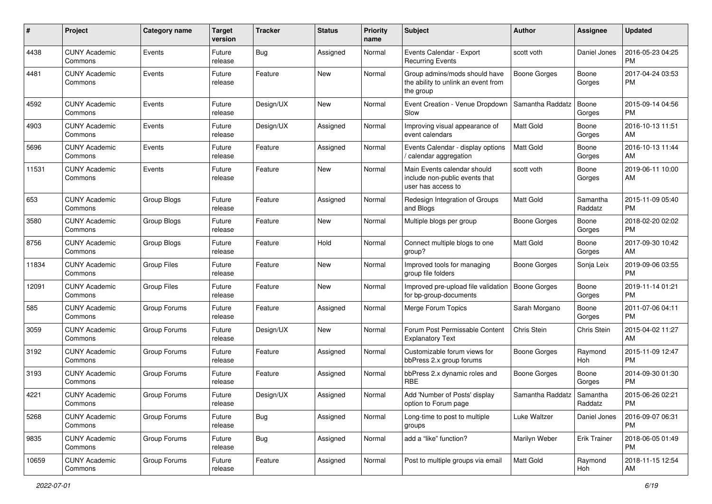| #     | Project                         | <b>Category name</b> | <b>Target</b><br>version | Tracker    | <b>Status</b> | <b>Priority</b><br>name | <b>Subject</b>                                                                      | Author              | Assignee            | <b>Updated</b>                |
|-------|---------------------------------|----------------------|--------------------------|------------|---------------|-------------------------|-------------------------------------------------------------------------------------|---------------------|---------------------|-------------------------------|
| 4438  | <b>CUNY Academic</b><br>Commons | Events               | Future<br>release        | Bug        | Assigned      | Normal                  | Events Calendar - Export<br><b>Recurring Events</b>                                 | scott voth          | Daniel Jones        | 2016-05-23 04:25<br><b>PM</b> |
| 4481  | <b>CUNY Academic</b><br>Commons | Events               | Future<br>release        | Feature    | New           | Normal                  | Group admins/mods should have<br>the ability to unlink an event from<br>the group   | <b>Boone Gorges</b> | Boone<br>Gorges     | 2017-04-24 03:53<br><b>PM</b> |
| 4592  | <b>CUNY Academic</b><br>Commons | Events               | Future<br>release        | Design/UX  | New           | Normal                  | Event Creation - Venue Dropdown<br>Slow                                             | Samantha Raddatz    | Boone<br>Gorges     | 2015-09-14 04:56<br><b>PM</b> |
| 4903  | <b>CUNY Academic</b><br>Commons | Events               | Future<br>release        | Design/UX  | Assigned      | Normal                  | Improving visual appearance of<br>event calendars                                   | <b>Matt Gold</b>    | Boone<br>Gorges     | 2016-10-13 11:51<br>AM        |
| 5696  | <b>CUNY Academic</b><br>Commons | Events               | Future<br>release        | Feature    | Assigned      | Normal                  | Events Calendar - display options<br>/ calendar aggregation                         | Matt Gold           | Boone<br>Gorges     | 2016-10-13 11:44<br>AM        |
| 11531 | <b>CUNY Academic</b><br>Commons | Events               | Future<br>release        | Feature    | New           | Normal                  | Main Events calendar should<br>include non-public events that<br>user has access to | scott voth          | Boone<br>Gorges     | 2019-06-11 10:00<br>AM        |
| 653   | <b>CUNY Academic</b><br>Commons | Group Blogs          | Future<br>release        | Feature    | Assigned      | Normal                  | Redesign Integration of Groups<br>and Blogs                                         | Matt Gold           | Samantha<br>Raddatz | 2015-11-09 05:40<br><b>PM</b> |
| 3580  | <b>CUNY Academic</b><br>Commons | Group Blogs          | Future<br>release        | Feature    | New           | Normal                  | Multiple blogs per group                                                            | <b>Boone Gorges</b> | Boone<br>Gorges     | 2018-02-20 02:02<br><b>PM</b> |
| 8756  | <b>CUNY Academic</b><br>Commons | Group Blogs          | Future<br>release        | Feature    | Hold          | Normal                  | Connect multiple blogs to one<br>group?                                             | <b>Matt Gold</b>    | Boone<br>Gorges     | 2017-09-30 10:42<br>AM        |
| 11834 | <b>CUNY Academic</b><br>Commons | <b>Group Files</b>   | Future<br>release        | Feature    | <b>New</b>    | Normal                  | Improved tools for managing<br>group file folders                                   | <b>Boone Gorges</b> | Sonja Leix          | 2019-09-06 03:55<br><b>PM</b> |
| 12091 | <b>CUNY Academic</b><br>Commons | <b>Group Files</b>   | Future<br>release        | Feature    | <b>New</b>    | Normal                  | Improved pre-upload file validation<br>for bp-group-documents                       | Boone Gorges        | Boone<br>Gorges     | 2019-11-14 01:21<br><b>PM</b> |
| 585   | <b>CUNY Academic</b><br>Commons | Group Forums         | Future<br>release        | Feature    | Assigned      | Normal                  | Merge Forum Topics                                                                  | Sarah Morgano       | Boone<br>Gorges     | 2011-07-06 04:11<br><b>PM</b> |
| 3059  | <b>CUNY Academic</b><br>Commons | Group Forums         | Future<br>release        | Design/UX  | <b>New</b>    | Normal                  | Forum Post Permissable Content<br><b>Explanatory Text</b>                           | Chris Stein         | Chris Stein         | 2015-04-02 11:27<br>AM        |
| 3192  | <b>CUNY Academic</b><br>Commons | Group Forums         | Future<br>release        | Feature    | Assigned      | Normal                  | Customizable forum views for<br>bbPress 2.x group forums                            | <b>Boone Gorges</b> | Raymond<br>Hoh      | 2015-11-09 12:47<br><b>PM</b> |
| 3193  | <b>CUNY Academic</b><br>Commons | Group Forums         | Future<br>release        | Feature    | Assigned      | Normal                  | bbPress 2.x dynamic roles and<br><b>RBE</b>                                         | <b>Boone Gorges</b> | Boone<br>Gorges     | 2014-09-30 01:30<br><b>PM</b> |
| 4221  | <b>CUNY Academic</b><br>Commons | Group Forums         | Future<br>release        | Design/UX  | Assigned      | Normal                  | Add 'Number of Posts' display<br>option to Forum page                               | Samantha Raddatz    | Samantha<br>Raddatz | 2015-06-26 02:21<br>PM        |
| 5268  | <b>CUNY Academic</b><br>Commons | Group Forums         | Future<br>release        | Bug        | Assigned      | Normal                  | Long-time to post to multiple<br>groups                                             | Luke Waltzer        | Daniel Jones        | 2016-09-07 06:31<br><b>PM</b> |
| 9835  | <b>CUNY Academic</b><br>Commons | Group Forums         | Future<br>release        | <b>Bug</b> | Assigned      | Normal                  | add a "like" function?                                                              | Marilyn Weber       | <b>Erik Trainer</b> | 2018-06-05 01:49<br><b>PM</b> |
| 10659 | <b>CUNY Academic</b><br>Commons | Group Forums         | Future<br>release        | Feature    | Assigned      | Normal                  | Post to multiple groups via email                                                   | Matt Gold           | Raymond<br>Hoh      | 2018-11-15 12:54<br>AM        |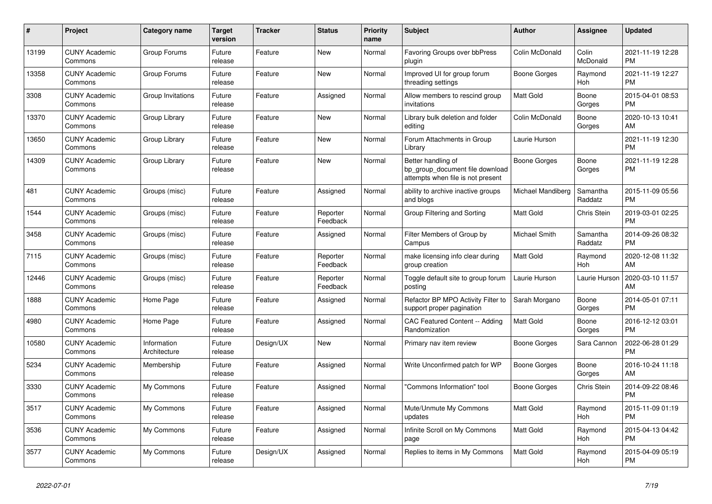| #     | <b>Project</b>                  | Category name               | <b>Target</b><br>version | <b>Tracker</b> | <b>Status</b>        | <b>Priority</b><br>name | <b>Subject</b>                                                                             | <b>Author</b>     | Assignee            | <b>Updated</b>                |
|-------|---------------------------------|-----------------------------|--------------------------|----------------|----------------------|-------------------------|--------------------------------------------------------------------------------------------|-------------------|---------------------|-------------------------------|
| 13199 | <b>CUNY Academic</b><br>Commons | Group Forums                | Future<br>release        | Feature        | <b>New</b>           | Normal                  | Favoring Groups over bbPress<br>plugin                                                     | Colin McDonald    | Colin<br>McDonald   | 2021-11-19 12:28<br><b>PM</b> |
| 13358 | <b>CUNY Academic</b><br>Commons | Group Forums                | Future<br>release        | Feature        | New                  | Normal                  | Improved UI for group forum<br>threading settings                                          | Boone Gorges      | Raymond<br>Hoh      | 2021-11-19 12:27<br><b>PM</b> |
| 3308  | <b>CUNY Academic</b><br>Commons | Group Invitations           | Future<br>release        | Feature        | Assigned             | Normal                  | Allow members to rescind group<br>invitations                                              | Matt Gold         | Boone<br>Gorges     | 2015-04-01 08:53<br><b>PM</b> |
| 13370 | <b>CUNY Academic</b><br>Commons | Group Library               | Future<br>release        | Feature        | <b>New</b>           | Normal                  | Library bulk deletion and folder<br>editing                                                | Colin McDonald    | Boone<br>Gorges     | 2020-10-13 10:41<br>AM        |
| 13650 | <b>CUNY Academic</b><br>Commons | Group Library               | Future<br>release        | Feature        | New                  | Normal                  | Forum Attachments in Group<br>Library                                                      | Laurie Hurson     |                     | 2021-11-19 12:30<br><b>PM</b> |
| 14309 | <b>CUNY Academic</b><br>Commons | Group Library               | Future<br>release        | Feature        | New                  | Normal                  | Better handling of<br>bp group document file download<br>attempts when file is not present | Boone Gorges      | Boone<br>Gorges     | 2021-11-19 12:28<br><b>PM</b> |
| 481   | <b>CUNY Academic</b><br>Commons | Groups (misc)               | Future<br>release        | Feature        | Assigned             | Normal                  | ability to archive inactive groups<br>and blogs                                            | Michael Mandiberg | Samantha<br>Raddatz | 2015-11-09 05:56<br><b>PM</b> |
| 1544  | <b>CUNY Academic</b><br>Commons | Groups (misc)               | Future<br>release        | Feature        | Reporter<br>Feedback | Normal                  | Group Filtering and Sorting                                                                | Matt Gold         | Chris Stein         | 2019-03-01 02:25<br><b>PM</b> |
| 3458  | <b>CUNY Academic</b><br>Commons | Groups (misc)               | Future<br>release        | Feature        | Assigned             | Normal                  | Filter Members of Group by<br>Campus                                                       | Michael Smith     | Samantha<br>Raddatz | 2014-09-26 08:32<br><b>PM</b> |
| 7115  | <b>CUNY Academic</b><br>Commons | Groups (misc)               | Future<br>release        | Feature        | Reporter<br>Feedback | Normal                  | make licensing info clear during<br>group creation                                         | <b>Matt Gold</b>  | Raymond<br>Hoh      | 2020-12-08 11:32<br>AM        |
| 12446 | <b>CUNY Academic</b><br>Commons | Groups (misc)               | Future<br>release        | Feature        | Reporter<br>Feedback | Normal                  | Toggle default site to group forum<br>posting                                              | Laurie Hurson     | Laurie Hurson       | 2020-03-10 11:57<br>AM        |
| 1888  | <b>CUNY Academic</b><br>Commons | Home Page                   | Future<br>release        | Feature        | Assigned             | Normal                  | Refactor BP MPO Activity Filter to<br>support proper pagination                            | Sarah Morgano     | Boone<br>Gorges     | 2014-05-01 07:11<br><b>PM</b> |
| 4980  | <b>CUNY Academic</b><br>Commons | Home Page                   | Future<br>release        | Feature        | Assigned             | Normal                  | CAC Featured Content -- Adding<br>Randomization                                            | <b>Matt Gold</b>  | Boone<br>Gorges     | 2016-12-12 03:01<br><b>PM</b> |
| 10580 | <b>CUNY Academic</b><br>Commons | Information<br>Architecture | Future<br>release        | Design/UX      | New                  | Normal                  | Primary nav item review                                                                    | Boone Gorges      | Sara Cannon         | 2022-06-28 01:29<br><b>PM</b> |
| 5234  | <b>CUNY Academic</b><br>Commons | Membership                  | Future<br>release        | Feature        | Assigned             | Normal                  | Write Unconfirmed patch for WP                                                             | Boone Gorges      | Boone<br>Gorges     | 2016-10-24 11:18<br>AM        |
| 3330  | <b>CUNY Academic</b><br>Commons | My Commons                  | Future<br>release        | Feature        | Assigned             | Normal                  | "Commons Information" tool                                                                 | Boone Gorges      | <b>Chris Stein</b>  | 2014-09-22 08:46<br><b>PM</b> |
| 3517  | <b>CUNY Academic</b><br>Commons | My Commons                  | Future<br>release        | Feature        | Assigned             | Normal                  | Mute/Unmute My Commons<br>updates                                                          | Matt Gold         | Raymond<br>Hoh      | 2015-11-09 01:19<br><b>PM</b> |
| 3536  | <b>CUNY Academic</b><br>Commons | My Commons                  | Future<br>release        | Feature        | Assigned             | Normal                  | Infinite Scroll on My Commons<br>page                                                      | <b>Matt Gold</b>  | Raymond<br>Hoh      | 2015-04-13 04:42<br><b>PM</b> |
| 3577  | <b>CUNY Academic</b><br>Commons | My Commons                  | Future<br>release        | Design/UX      | Assigned             | Normal                  | Replies to items in My Commons                                                             | <b>Matt Gold</b>  | Raymond<br>Hoh      | 2015-04-09 05:19<br><b>PM</b> |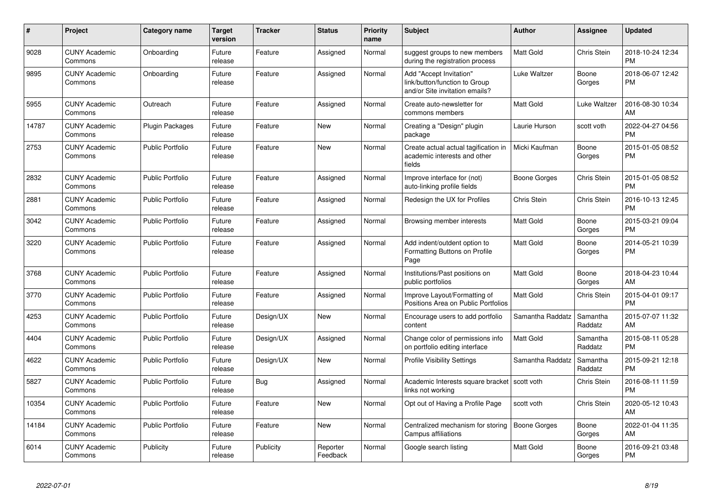| #     | Project                         | <b>Category name</b>    | <b>Target</b><br>version | <b>Tracker</b> | <b>Status</b>        | <b>Priority</b><br>name | <b>Subject</b>                                                                             | <b>Author</b>    | <b>Assignee</b>     | <b>Updated</b>                |
|-------|---------------------------------|-------------------------|--------------------------|----------------|----------------------|-------------------------|--------------------------------------------------------------------------------------------|------------------|---------------------|-------------------------------|
| 9028  | <b>CUNY Academic</b><br>Commons | Onboarding              | Future<br>release        | Feature        | Assigned             | Normal                  | suggest groups to new members<br>during the registration process                           | <b>Matt Gold</b> | Chris Stein         | 2018-10-24 12:34<br><b>PM</b> |
| 9895  | <b>CUNY Academic</b><br>Commons | Onboarding              | Future<br>release        | Feature        | Assigned             | Normal                  | Add "Accept Invitation"<br>link/button/function to Group<br>and/or Site invitation emails? | Luke Waltzer     | Boone<br>Gorges     | 2018-06-07 12:42<br><b>PM</b> |
| 5955  | <b>CUNY Academic</b><br>Commons | Outreach                | Future<br>release        | Feature        | Assigned             | Normal                  | Create auto-newsletter for<br>commons members                                              | Matt Gold        | Luke Waltzer        | 2016-08-30 10:34<br>AM        |
| 14787 | <b>CUNY Academic</b><br>Commons | <b>Plugin Packages</b>  | Future<br>release        | Feature        | New                  | Normal                  | Creating a "Design" plugin<br>package                                                      | Laurie Hurson    | scott voth          | 2022-04-27 04:56<br>PM        |
| 2753  | <b>CUNY Academic</b><br>Commons | <b>Public Portfolio</b> | Future<br>release        | Feature        | New                  | Normal                  | Create actual actual tagification in<br>academic interests and other<br>fields             | Micki Kaufman    | Boone<br>Gorges     | 2015-01-05 08:52<br><b>PM</b> |
| 2832  | <b>CUNY Academic</b><br>Commons | <b>Public Portfolio</b> | Future<br>release        | Feature        | Assigned             | Normal                  | Improve interface for (not)<br>auto-linking profile fields                                 | Boone Gorges     | Chris Stein         | 2015-01-05 08:52<br><b>PM</b> |
| 2881  | <b>CUNY Academic</b><br>Commons | <b>Public Portfolio</b> | Future<br>release        | Feature        | Assigned             | Normal                  | Redesign the UX for Profiles                                                               | Chris Stein      | Chris Stein         | 2016-10-13 12:45<br><b>PM</b> |
| 3042  | <b>CUNY Academic</b><br>Commons | <b>Public Portfolio</b> | Future<br>release        | Feature        | Assigned             | Normal                  | Browsing member interests                                                                  | Matt Gold        | Boone<br>Gorges     | 2015-03-21 09:04<br>PM        |
| 3220  | <b>CUNY Academic</b><br>Commons | <b>Public Portfolio</b> | Future<br>release        | Feature        | Assigned             | Normal                  | Add indent/outdent option to<br>Formatting Buttons on Profile<br>Page                      | Matt Gold        | Boone<br>Gorges     | 2014-05-21 10:39<br><b>PM</b> |
| 3768  | <b>CUNY Academic</b><br>Commons | <b>Public Portfolio</b> | Future<br>release        | Feature        | Assigned             | Normal                  | Institutions/Past positions on<br>public portfolios                                        | Matt Gold        | Boone<br>Gorges     | 2018-04-23 10:44<br>AM        |
| 3770  | <b>CUNY Academic</b><br>Commons | <b>Public Portfolio</b> | Future<br>release        | Feature        | Assigned             | Normal                  | Improve Layout/Formatting of<br>Positions Area on Public Portfolios                        | Matt Gold        | Chris Stein         | 2015-04-01 09:17<br><b>PM</b> |
| 4253  | <b>CUNY Academic</b><br>Commons | <b>Public Portfolio</b> | Future<br>release        | Design/UX      | New                  | Normal                  | Encourage users to add portfolio<br>content                                                | Samantha Raddatz | Samantha<br>Raddatz | 2015-07-07 11:32<br>AM        |
| 4404  | <b>CUNY Academic</b><br>Commons | <b>Public Portfolio</b> | Future<br>release        | Design/UX      | Assigned             | Normal                  | Change color of permissions info<br>on portfolio editing interface                         | Matt Gold        | Samantha<br>Raddatz | 2015-08-11 05:28<br><b>PM</b> |
| 4622  | <b>CUNY Academic</b><br>Commons | <b>Public Portfolio</b> | Future<br>release        | Design/UX      | New                  | Normal                  | <b>Profile Visibility Settings</b>                                                         | Samantha Raddatz | Samantha<br>Raddatz | 2015-09-21 12:18<br>PM        |
| 5827  | <b>CUNY Academic</b><br>Commons | <b>Public Portfolio</b> | Future<br>release        | Bug            | Assigned             | Normal                  | Academic Interests square bracket   scott voth<br>links not working                        |                  | Chris Stein         | 2016-08-11 11:59<br><b>PM</b> |
| 10354 | <b>CUNY Academic</b><br>Commons | <b>Public Portfolio</b> | Future<br>release        | Feature        | <b>New</b>           | Normal                  | Opt out of Having a Profile Page                                                           | scott voth       | Chris Stein         | 2020-05-12 10:43<br>AM        |
| 14184 | <b>CUNY Academic</b><br>Commons | Public Portfolio        | Future<br>release        | Feature        | <b>New</b>           | Normal                  | Centralized mechanism for storing<br>Campus affiliations                                   | Boone Gorges     | Boone<br>Gorges     | 2022-01-04 11:35<br>AM        |
| 6014  | <b>CUNY Academic</b><br>Commons | Publicity               | Future<br>release        | Publicity      | Reporter<br>Feedback | Normal                  | Google search listing                                                                      | Matt Gold        | Boone<br>Gorges     | 2016-09-21 03:48<br><b>PM</b> |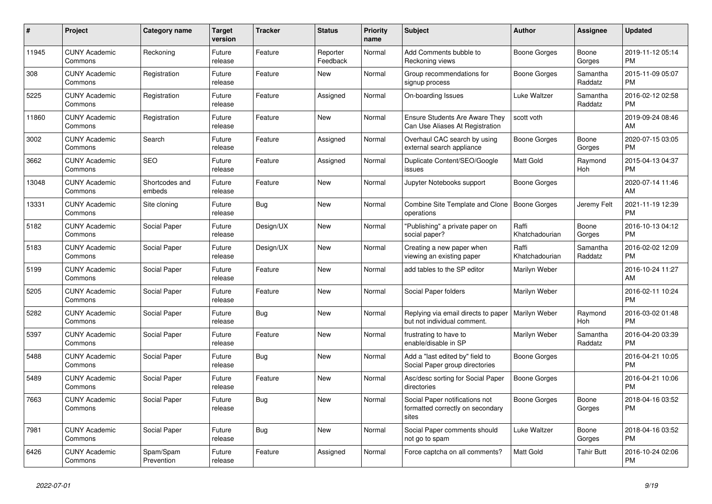| $\pmb{\#}$ | <b>Project</b>                  | <b>Category name</b>     | <b>Target</b><br>version | <b>Tracker</b> | <b>Status</b>        | <b>Priority</b><br>name | <b>Subject</b>                                                              | <b>Author</b>           | Assignee            | <b>Updated</b>                |
|------------|---------------------------------|--------------------------|--------------------------|----------------|----------------------|-------------------------|-----------------------------------------------------------------------------|-------------------------|---------------------|-------------------------------|
| 11945      | <b>CUNY Academic</b><br>Commons | Reckoning                | Future<br>release        | Feature        | Reporter<br>Feedback | Normal                  | Add Comments bubble to<br>Reckoning views                                   | Boone Gorges            | Boone<br>Gorges     | 2019-11-12 05:14<br><b>PM</b> |
| 308        | <b>CUNY Academic</b><br>Commons | Registration             | Future<br>release        | Feature        | New                  | Normal                  | Group recommendations for<br>signup process                                 | Boone Gorges            | Samantha<br>Raddatz | 2015-11-09 05:07<br><b>PM</b> |
| 5225       | <b>CUNY Academic</b><br>Commons | Registration             | Future<br>release        | Feature        | Assigned             | Normal                  | On-boarding Issues                                                          | Luke Waltzer            | Samantha<br>Raddatz | 2016-02-12 02:58<br><b>PM</b> |
| 11860      | <b>CUNY Academic</b><br>Commons | Registration             | Future<br>release        | Feature        | <b>New</b>           | Normal                  | Ensure Students Are Aware They<br>Can Use Aliases At Registration           | scott voth              |                     | 2019-09-24 08:46<br>AM        |
| 3002       | <b>CUNY Academic</b><br>Commons | Search                   | Future<br>release        | Feature        | Assigned             | Normal                  | Overhaul CAC search by using<br>external search appliance                   | <b>Boone Gorges</b>     | Boone<br>Gorges     | 2020-07-15 03:05<br><b>PM</b> |
| 3662       | <b>CUNY Academic</b><br>Commons | <b>SEO</b>               | Future<br>release        | Feature        | Assigned             | Normal                  | Duplicate Content/SEO/Google<br>issues                                      | Matt Gold               | Raymond<br>Hoh      | 2015-04-13 04:37<br><b>PM</b> |
| 13048      | <b>CUNY Academic</b><br>Commons | Shortcodes and<br>embeds | Future<br>release        | Feature        | <b>New</b>           | Normal                  | Jupyter Notebooks support                                                   | Boone Gorges            |                     | 2020-07-14 11:46<br>AM        |
| 13331      | <b>CUNY Academic</b><br>Commons | Site cloning             | Future<br>release        | Bug            | <b>New</b>           | Normal                  | Combine Site Template and Clone<br>operations                               | Boone Gorges            | Jeremy Felt         | 2021-11-19 12:39<br><b>PM</b> |
| 5182       | <b>CUNY Academic</b><br>Commons | Social Paper             | Future<br>release        | Design/UX      | New                  | Normal                  | "Publishing" a private paper on<br>social paper?                            | Raffi<br>Khatchadourian | Boone<br>Gorges     | 2016-10-13 04:12<br><b>PM</b> |
| 5183       | <b>CUNY Academic</b><br>Commons | Social Paper             | Future<br>release        | Design/UX      | New                  | Normal                  | Creating a new paper when<br>viewing an existing paper                      | Raffi<br>Khatchadourian | Samantha<br>Raddatz | 2016-02-02 12:09<br><b>PM</b> |
| 5199       | <b>CUNY Academic</b><br>Commons | Social Paper             | Future<br>release        | Feature        | <b>New</b>           | Normal                  | add tables to the SP editor                                                 | Marilyn Weber           |                     | 2016-10-24 11:27<br>AM        |
| 5205       | <b>CUNY Academic</b><br>Commons | Social Paper             | Future<br>release        | Feature        | New                  | Normal                  | Social Paper folders                                                        | Marilyn Weber           |                     | 2016-02-11 10:24<br><b>PM</b> |
| 5282       | <b>CUNY Academic</b><br>Commons | Social Paper             | Future<br>release        | Bug            | New                  | Normal                  | Replying via email directs to paper<br>but not individual comment.          | Marilyn Weber           | Raymond<br>Hoh      | 2016-03-02 01:48<br><b>PM</b> |
| 5397       | <b>CUNY Academic</b><br>Commons | Social Paper             | Future<br>release        | Feature        | <b>New</b>           | Normal                  | frustrating to have to<br>enable/disable in SP                              | Marilyn Weber           | Samantha<br>Raddatz | 2016-04-20 03:39<br><b>PM</b> |
| 5488       | <b>CUNY Academic</b><br>Commons | Social Paper             | Future<br>release        | Bug            | <b>New</b>           | Normal                  | Add a "last edited by" field to<br>Social Paper group directories           | Boone Gorges            |                     | 2016-04-21 10:05<br><b>PM</b> |
| 5489       | <b>CUNY Academic</b><br>Commons | Social Paper             | Future<br>release        | Feature        | New                  | Normal                  | Asc/desc sorting for Social Paper<br>directories                            | Boone Gorges            |                     | 2016-04-21 10:06<br><b>PM</b> |
| 7663       | <b>CUNY Academic</b><br>Commons | Social Paper             | Future<br>release        | Bug            | <b>New</b>           | Normal                  | Social Paper notifications not<br>formatted correctly on secondary<br>sites | Boone Gorges            | Boone<br>Gorges     | 2018-04-16 03:52<br><b>PM</b> |
| 7981       | <b>CUNY Academic</b><br>Commons | Social Paper             | Future<br>release        | Bug            | New                  | Normal                  | Social Paper comments should<br>not go to spam                              | Luke Waltzer            | Boone<br>Gorges     | 2018-04-16 03:52<br><b>PM</b> |
| 6426       | <b>CUNY Academic</b><br>Commons | Spam/Spam<br>Prevention  | Future<br>release        | Feature        | Assigned             | Normal                  | Force captcha on all comments?                                              | Matt Gold               | Tahir Butt          | 2016-10-24 02:06<br><b>PM</b> |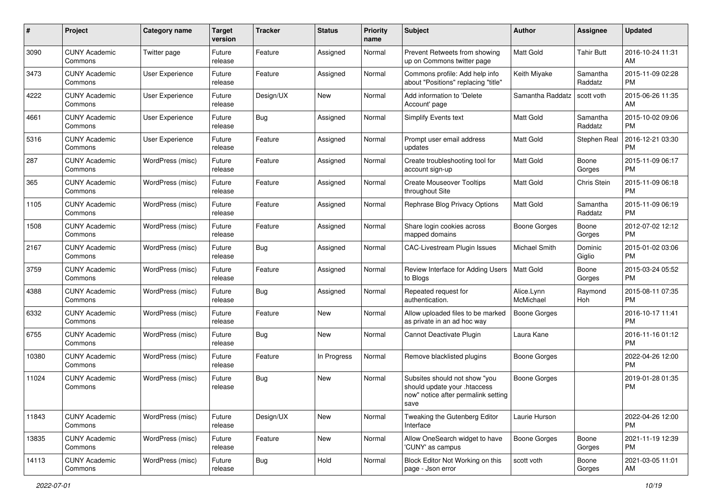| #     | Project                         | <b>Category name</b> | <b>Target</b><br>version | <b>Tracker</b> | <b>Status</b> | Priority<br>name | <b>Subject</b>                                                                                               | Author                  | <b>Assignee</b>     | <b>Updated</b>                |
|-------|---------------------------------|----------------------|--------------------------|----------------|---------------|------------------|--------------------------------------------------------------------------------------------------------------|-------------------------|---------------------|-------------------------------|
| 3090  | <b>CUNY Academic</b><br>Commons | Twitter page         | Future<br>release        | Feature        | Assigned      | Normal           | Prevent Retweets from showing<br>up on Commons twitter page                                                  | <b>Matt Gold</b>        | <b>Tahir Butt</b>   | 2016-10-24 11:31<br>AM        |
| 3473  | <b>CUNY Academic</b><br>Commons | User Experience      | Future<br>release        | Feature        | Assigned      | Normal           | Commons profile: Add help info<br>about "Positions" replacing "title"                                        | Keith Miyake            | Samantha<br>Raddatz | 2015-11-09 02:28<br><b>PM</b> |
| 4222  | <b>CUNY Academic</b><br>Commons | User Experience      | Future<br>release        | Design/UX      | <b>New</b>    | Normal           | Add information to 'Delete<br>Account' page                                                                  | Samantha Raddatz        | scott voth          | 2015-06-26 11:35<br>AM        |
| 4661  | <b>CUNY Academic</b><br>Commons | User Experience      | Future<br>release        | Bug            | Assigned      | Normal           | <b>Simplify Events text</b>                                                                                  | Matt Gold               | Samantha<br>Raddatz | 2015-10-02 09:06<br><b>PM</b> |
| 5316  | <b>CUNY Academic</b><br>Commons | User Experience      | Future<br>release        | Feature        | Assigned      | Normal           | Prompt user email address<br>updates                                                                         | <b>Matt Gold</b>        | Stephen Real        | 2016-12-21 03:30<br>PM        |
| 287   | <b>CUNY Academic</b><br>Commons | WordPress (misc)     | Future<br>release        | Feature        | Assigned      | Normal           | Create troubleshooting tool for<br>account sign-up                                                           | Matt Gold               | Boone<br>Gorges     | 2015-11-09 06:17<br><b>PM</b> |
| 365   | <b>CUNY Academic</b><br>Commons | WordPress (misc)     | Future<br>release        | Feature        | Assigned      | Normal           | <b>Create Mouseover Tooltips</b><br>throughout Site                                                          | Matt Gold               | Chris Stein         | 2015-11-09 06:18<br><b>PM</b> |
| 1105  | <b>CUNY Academic</b><br>Commons | WordPress (misc)     | Future<br>release        | Feature        | Assigned      | Normal           | Rephrase Blog Privacy Options                                                                                | <b>Matt Gold</b>        | Samantha<br>Raddatz | 2015-11-09 06:19<br><b>PM</b> |
| 1508  | <b>CUNY Academic</b><br>Commons | WordPress (misc)     | Future<br>release        | Feature        | Assigned      | Normal           | Share login cookies across<br>mapped domains                                                                 | <b>Boone Gorges</b>     | Boone<br>Gorges     | 2012-07-02 12:12<br><b>PM</b> |
| 2167  | <b>CUNY Academic</b><br>Commons | WordPress (misc)     | Future<br>release        | Bug            | Assigned      | Normal           | <b>CAC-Livestream Plugin Issues</b>                                                                          | Michael Smith           | Dominic<br>Giglio   | 2015-01-02 03:06<br><b>PM</b> |
| 3759  | <b>CUNY Academic</b><br>Commons | WordPress (misc)     | Future<br>release        | Feature        | Assigned      | Normal           | Review Interface for Adding Users<br>to Blogs                                                                | <b>Matt Gold</b>        | Boone<br>Gorges     | 2015-03-24 05:52<br><b>PM</b> |
| 4388  | <b>CUNY Academic</b><br>Commons | WordPress (misc)     | Future<br>release        | Bug            | Assigned      | Normal           | Repeated request for<br>authentication.                                                                      | Alice.Lynn<br>McMichael | Raymond<br>Hoh      | 2015-08-11 07:35<br><b>PM</b> |
| 6332  | <b>CUNY Academic</b><br>Commons | WordPress (misc)     | Future<br>release        | Feature        | New           | Normal           | Allow uploaded files to be marked<br>as private in an ad hoc way                                             | <b>Boone Gorges</b>     |                     | 2016-10-17 11:41<br><b>PM</b> |
| 6755  | <b>CUNY Academic</b><br>Commons | WordPress (misc)     | Future<br>release        | Bug            | New           | Normal           | Cannot Deactivate Plugin                                                                                     | Laura Kane              |                     | 2016-11-16 01:12<br><b>PM</b> |
| 10380 | <b>CUNY Academic</b><br>Commons | WordPress (misc)     | Future<br>release        | Feature        | In Progress   | Normal           | Remove blacklisted plugins                                                                                   | <b>Boone Gorges</b>     |                     | 2022-04-26 12:00<br><b>PM</b> |
| 11024 | <b>CUNY Academic</b><br>Commons | WordPress (misc)     | Future<br>release        | Bug            | New           | Normal           | Subsites should not show "you<br>should update your .htaccess<br>now" notice after permalink setting<br>save | <b>Boone Gorges</b>     |                     | 2019-01-28 01:35<br>PM        |
| 11843 | <b>CUNY Academic</b><br>Commons | WordPress (misc)     | Future<br>release        | Design/UX      | New           | Normal           | Tweaking the Gutenberg Editor<br>Interface                                                                   | Laurie Hurson           |                     | 2022-04-26 12:00<br>PM        |
| 13835 | <b>CUNY Academic</b><br>Commons | WordPress (misc)     | Future<br>release        | Feature        | New           | Normal           | Allow OneSearch widget to have<br>'CUNY' as campus                                                           | <b>Boone Gorges</b>     | Boone<br>Gorges     | 2021-11-19 12:39<br><b>PM</b> |
| 14113 | <b>CUNY Academic</b><br>Commons | WordPress (misc)     | Future<br>release        | <b>Bug</b>     | Hold          | Normal           | Block Editor Not Working on this<br>page - Json error                                                        | scott voth              | Boone<br>Gorges     | 2021-03-05 11:01<br>AM        |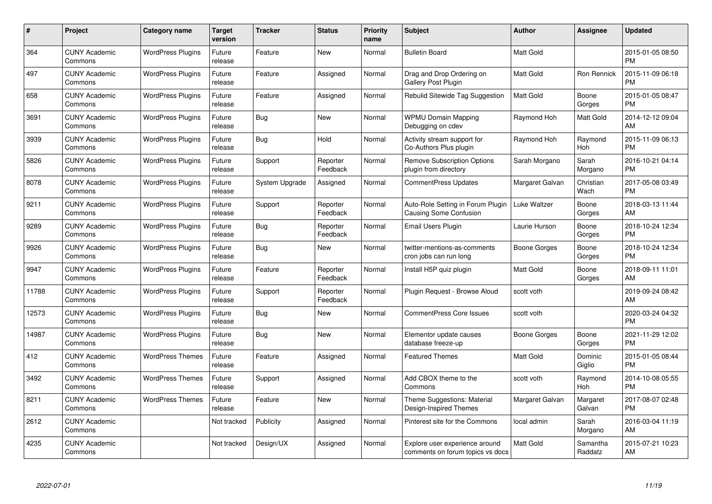| #     | Project                         | <b>Category name</b>     | <b>Target</b><br>version | <b>Tracker</b> | <b>Status</b>        | <b>Priority</b><br>name | <b>Subject</b>                                                     | <b>Author</b>    | <b>Assignee</b>     | <b>Updated</b>                |
|-------|---------------------------------|--------------------------|--------------------------|----------------|----------------------|-------------------------|--------------------------------------------------------------------|------------------|---------------------|-------------------------------|
| 364   | <b>CUNY Academic</b><br>Commons | <b>WordPress Plugins</b> | Future<br>release        | Feature        | <b>New</b>           | Normal                  | <b>Bulletin Board</b>                                              | <b>Matt Gold</b> |                     | 2015-01-05 08:50<br><b>PM</b> |
| 497   | <b>CUNY Academic</b><br>Commons | <b>WordPress Plugins</b> | Future<br>release        | Feature        | Assigned             | Normal                  | Drag and Drop Ordering on<br>Gallery Post Plugin                   | <b>Matt Gold</b> | Ron Rennick         | 2015-11-09 06:18<br><b>PM</b> |
| 658   | <b>CUNY Academic</b><br>Commons | <b>WordPress Plugins</b> | Future<br>release        | Feature        | Assigned             | Normal                  | Rebulid Sitewide Tag Suggestion                                    | Matt Gold        | Boone<br>Gorges     | 2015-01-05 08:47<br><b>PM</b> |
| 3691  | <b>CUNY Academic</b><br>Commons | <b>WordPress Plugins</b> | Future<br>release        | <b>Bug</b>     | <b>New</b>           | Normal                  | <b>WPMU Domain Mapping</b><br>Debugging on cdev                    | Raymond Hoh      | Matt Gold           | 2014-12-12 09:04<br>AM        |
| 3939  | <b>CUNY Academic</b><br>Commons | <b>WordPress Plugins</b> | Future<br>release        | Bug            | Hold                 | Normal                  | Activity stream support for<br>Co-Authors Plus plugin              | Raymond Hoh      | Raymond<br>Hoh      | 2015-11-09 06:13<br><b>PM</b> |
| 5826  | <b>CUNY Academic</b><br>Commons | <b>WordPress Plugins</b> | Future<br>release        | Support        | Reporter<br>Feedback | Normal                  | <b>Remove Subscription Options</b><br>plugin from directory        | Sarah Morgano    | Sarah<br>Morgano    | 2016-10-21 04:14<br><b>PM</b> |
| 8078  | <b>CUNY Academic</b><br>Commons | <b>WordPress Plugins</b> | Future<br>release        | System Upgrade | Assigned             | Normal                  | <b>CommentPress Updates</b>                                        | Margaret Galvan  | Christian<br>Wach   | 2017-05-08 03:49<br><b>PM</b> |
| 9211  | <b>CUNY Academic</b><br>Commons | <b>WordPress Plugins</b> | Future<br>release        | Support        | Reporter<br>Feedback | Normal                  | Auto-Role Setting in Forum Plugin<br>Causing Some Confusion        | Luke Waltzer     | Boone<br>Gorges     | 2018-03-13 11:44<br>AM        |
| 9289  | <b>CUNY Academic</b><br>Commons | <b>WordPress Plugins</b> | Future<br>release        | <b>Bug</b>     | Reporter<br>Feedback | Normal                  | Email Users Plugin                                                 | Laurie Hurson    | Boone<br>Gorges     | 2018-10-24 12:34<br><b>PM</b> |
| 9926  | <b>CUNY Academic</b><br>Commons | <b>WordPress Plugins</b> | Future<br>release        | Bug            | <b>New</b>           | Normal                  | twitter-mentions-as-comments<br>cron jobs can run long             | Boone Gorges     | Boone<br>Gorges     | 2018-10-24 12:34<br><b>PM</b> |
| 9947  | <b>CUNY Academic</b><br>Commons | <b>WordPress Plugins</b> | Future<br>release        | Feature        | Reporter<br>Feedback | Normal                  | Install H5P quiz plugin                                            | Matt Gold        | Boone<br>Gorges     | 2018-09-11 11:01<br>AM        |
| 11788 | <b>CUNY Academic</b><br>Commons | <b>WordPress Plugins</b> | Future<br>release        | Support        | Reporter<br>Feedback | Normal                  | Plugin Request - Browse Aloud                                      | scott voth       |                     | 2019-09-24 08:42<br>AM        |
| 12573 | <b>CUNY Academic</b><br>Commons | <b>WordPress Plugins</b> | Future<br>release        | Bug            | New                  | Normal                  | <b>CommentPress Core Issues</b>                                    | scott voth       |                     | 2020-03-24 04:32<br><b>PM</b> |
| 14987 | <b>CUNY Academic</b><br>Commons | <b>WordPress Plugins</b> | Future<br>release        | Bug            | New                  | Normal                  | Elementor update causes<br>database freeze-up                      | Boone Gorges     | Boone<br>Gorges     | 2021-11-29 12:02<br><b>PM</b> |
| 412   | <b>CUNY Academic</b><br>Commons | <b>WordPress Themes</b>  | Future<br>release        | Feature        | Assigned             | Normal                  | <b>Featured Themes</b>                                             | Matt Gold        | Dominic<br>Giglio   | 2015-01-05 08:44<br><b>PM</b> |
| 3492  | <b>CUNY Academic</b><br>Commons | <b>WordPress Themes</b>  | Future<br>release        | Support        | Assigned             | Normal                  | Add CBOX theme to the<br>Commons                                   | scott voth       | Raymond<br>Hoh      | 2014-10-08 05:55<br><b>PM</b> |
| 8211  | <b>CUNY Academic</b><br>Commons | <b>WordPress Themes</b>  | Future<br>release        | Feature        | New                  | Normal                  | Theme Suggestions: Material<br>Design-Inspired Themes              | Margaret Galvan  | Margaret<br>Galvan  | 2017-08-07 02:48<br><b>PM</b> |
| 2612  | <b>CUNY Academic</b><br>Commons |                          | Not tracked              | Publicity      | Assigned             | Normal                  | Pinterest site for the Commons                                     | local admin      | Sarah<br>Morgano    | 2016-03-04 11:19<br>AM        |
| 4235  | <b>CUNY Academic</b><br>Commons |                          | Not tracked              | Design/UX      | Assigned             | Normal                  | Explore user experience around<br>comments on forum topics vs docs | Matt Gold        | Samantha<br>Raddatz | 2015-07-21 10:23<br>AM        |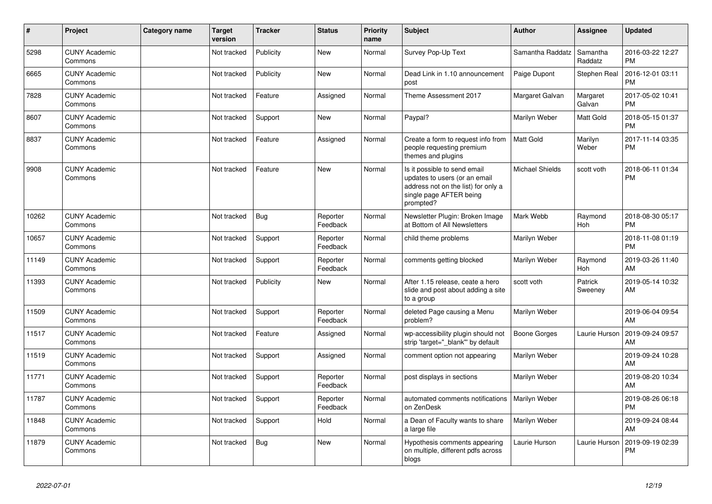| #     | Project                         | Category name | <b>Target</b><br>version | <b>Tracker</b> | <b>Status</b>        | <b>Priority</b><br>name | <b>Subject</b>                                                                                                                               | <b>Author</b>          | <b>Assignee</b>     | <b>Updated</b>                |
|-------|---------------------------------|---------------|--------------------------|----------------|----------------------|-------------------------|----------------------------------------------------------------------------------------------------------------------------------------------|------------------------|---------------------|-------------------------------|
| 5298  | <b>CUNY Academic</b><br>Commons |               | Not tracked              | Publicity      | <b>New</b>           | Normal                  | Survey Pop-Up Text                                                                                                                           | Samantha Raddatz       | Samantha<br>Raddatz | 2016-03-22 12:27<br><b>PM</b> |
| 6665  | <b>CUNY Academic</b><br>Commons |               | Not tracked              | Publicity      | <b>New</b>           | Normal                  | Dead Link in 1.10 announcement<br>post                                                                                                       | Paige Dupont           | Stephen Real        | 2016-12-01 03:11<br><b>PM</b> |
| 7828  | <b>CUNY Academic</b><br>Commons |               | Not tracked              | Feature        | Assigned             | Normal                  | Theme Assessment 2017                                                                                                                        | Margaret Galvan        | Margaret<br>Galvan  | 2017-05-02 10:41<br><b>PM</b> |
| 8607  | <b>CUNY Academic</b><br>Commons |               | Not tracked              | Support        | <b>New</b>           | Normal                  | Paypal?                                                                                                                                      | Marilyn Weber          | Matt Gold           | 2018-05-15 01:37<br><b>PM</b> |
| 8837  | <b>CUNY Academic</b><br>Commons |               | Not tracked              | Feature        | Assigned             | Normal                  | Create a form to request info from<br>people requesting premium<br>themes and plugins                                                        | <b>Matt Gold</b>       | Marilyn<br>Weber    | 2017-11-14 03:35<br><b>PM</b> |
| 9908  | <b>CUNY Academic</b><br>Commons |               | Not tracked              | Feature        | <b>New</b>           | Normal                  | Is it possible to send email<br>updates to users (or an email<br>address not on the list) for only a<br>single page AFTER being<br>prompted? | <b>Michael Shields</b> | scott voth          | 2018-06-11 01:34<br><b>PM</b> |
| 10262 | <b>CUNY Academic</b><br>Commons |               | Not tracked              | Bug            | Reporter<br>Feedback | Normal                  | Newsletter Plugin: Broken Image<br>at Bottom of All Newsletters                                                                              | Mark Webb              | Raymond<br>Hoh      | 2018-08-30 05:17<br><b>PM</b> |
| 10657 | <b>CUNY Academic</b><br>Commons |               | Not tracked              | Support        | Reporter<br>Feedback | Normal                  | child theme problems                                                                                                                         | Marilyn Weber          |                     | 2018-11-08 01:19<br><b>PM</b> |
| 11149 | <b>CUNY Academic</b><br>Commons |               | Not tracked              | Support        | Reporter<br>Feedback | Normal                  | comments getting blocked                                                                                                                     | Marilyn Weber          | Raymond<br>Hoh      | 2019-03-26 11:40<br>AM        |
| 11393 | <b>CUNY Academic</b><br>Commons |               | Not tracked              | Publicity      | <b>New</b>           | Normal                  | After 1.15 release, ceate a hero<br>slide and post about adding a site<br>to a group                                                         | scott voth             | Patrick<br>Sweeney  | 2019-05-14 10:32<br>AM        |
| 11509 | <b>CUNY Academic</b><br>Commons |               | Not tracked              | Support        | Reporter<br>Feedback | Normal                  | deleted Page causing a Menu<br>problem?                                                                                                      | Marilyn Weber          |                     | 2019-06-04 09:54<br>AM        |
| 11517 | <b>CUNY Academic</b><br>Commons |               | Not tracked              | Feature        | Assigned             | Normal                  | wp-accessibility plugin should not<br>strip 'target=" blank" by default                                                                      | <b>Boone Gorges</b>    | Laurie Hurson       | 2019-09-24 09:57<br>AM        |
| 11519 | <b>CUNY Academic</b><br>Commons |               | Not tracked              | Support        | Assigned             | Normal                  | comment option not appearing                                                                                                                 | Marilyn Weber          |                     | 2019-09-24 10:28<br>AM        |
| 11771 | <b>CUNY Academic</b><br>Commons |               | Not tracked              | Support        | Reporter<br>Feedback | Normal                  | post displays in sections                                                                                                                    | Marilyn Weber          |                     | 2019-08-20 10:34<br>AM        |
| 11787 | <b>CUNY Academic</b><br>Commons |               | Not tracked              | Support        | Reporter<br>Feedback | Normal                  | automated comments notifications<br>on ZenDesk                                                                                               | Marilyn Weber          |                     | 2019-08-26 06:18<br><b>PM</b> |
| 11848 | <b>CUNY Academic</b><br>Commons |               | Not tracked              | Support        | Hold                 | Normal                  | a Dean of Faculty wants to share<br>a large file                                                                                             | Marilyn Weber          |                     | 2019-09-24 08:44<br>AM        |
| 11879 | <b>CUNY Academic</b><br>Commons |               | Not tracked              | Bug            | <b>New</b>           | Normal                  | Hypothesis comments appearing<br>on multiple, different pdfs across<br>blogs                                                                 | Laurie Hurson          | Laurie Hurson       | 2019-09-19 02:39<br><b>PM</b> |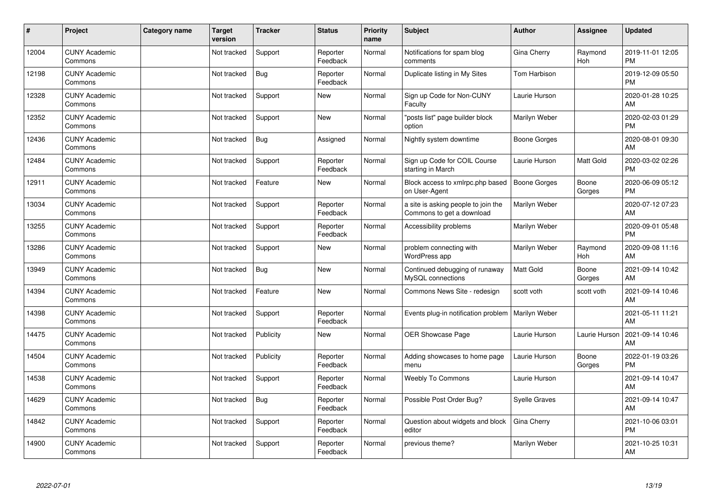| #     | Project                         | <b>Category name</b> | <b>Target</b><br>version | <b>Tracker</b> | <b>Status</b>        | Priority<br>name | <b>Subject</b>                                                   | Author              | Assignee        | <b>Updated</b>                |
|-------|---------------------------------|----------------------|--------------------------|----------------|----------------------|------------------|------------------------------------------------------------------|---------------------|-----------------|-------------------------------|
| 12004 | <b>CUNY Academic</b><br>Commons |                      | Not tracked              | Support        | Reporter<br>Feedback | Normal           | Notifications for spam blog<br>comments                          | Gina Cherry         | Raymond<br>Hoh  | 2019-11-01 12:05<br><b>PM</b> |
| 12198 | <b>CUNY Academic</b><br>Commons |                      | Not tracked              | Bug            | Reporter<br>Feedback | Normal           | Duplicate listing in My Sites                                    | <b>Tom Harbison</b> |                 | 2019-12-09 05:50<br><b>PM</b> |
| 12328 | <b>CUNY Academic</b><br>Commons |                      | Not tracked              | Support        | <b>New</b>           | Normal           | Sign up Code for Non-CUNY<br>Faculty                             | Laurie Hurson       |                 | 2020-01-28 10:25<br>AM        |
| 12352 | <b>CUNY Academic</b><br>Commons |                      | Not tracked              | Support        | <b>New</b>           | Normal           | "posts list" page builder block<br>option                        | Marilyn Weber       |                 | 2020-02-03 01:29<br><b>PM</b> |
| 12436 | <b>CUNY Academic</b><br>Commons |                      | Not tracked              | Bug            | Assigned             | Normal           | Nightly system downtime                                          | Boone Gorges        |                 | 2020-08-01 09:30<br>AM        |
| 12484 | <b>CUNY Academic</b><br>Commons |                      | Not tracked              | Support        | Reporter<br>Feedback | Normal           | Sign up Code for COIL Course<br>starting in March                | Laurie Hurson       | Matt Gold       | 2020-03-02 02:26<br><b>PM</b> |
| 12911 | <b>CUNY Academic</b><br>Commons |                      | Not tracked              | Feature        | <b>New</b>           | Normal           | Block access to xmlrpc.php based<br>on User-Agent                | <b>Boone Gorges</b> | Boone<br>Gorges | 2020-06-09 05:12<br><b>PM</b> |
| 13034 | <b>CUNY Academic</b><br>Commons |                      | Not tracked              | Support        | Reporter<br>Feedback | Normal           | a site is asking people to join the<br>Commons to get a download | Marilyn Weber       |                 | 2020-07-12 07:23<br>AM        |
| 13255 | <b>CUNY Academic</b><br>Commons |                      | Not tracked              | Support        | Reporter<br>Feedback | Normal           | Accessibility problems                                           | Marilyn Weber       |                 | 2020-09-01 05:48<br><b>PM</b> |
| 13286 | <b>CUNY Academic</b><br>Commons |                      | Not tracked              | Support        | <b>New</b>           | Normal           | problem connecting with<br><b>WordPress app</b>                  | Marilyn Weber       | Raymond<br>Hoh  | 2020-09-08 11:16<br>AM        |
| 13949 | <b>CUNY Academic</b><br>Commons |                      | Not tracked              | <b>Bug</b>     | New                  | Normal           | Continued debugging of runaway<br>MySQL connections              | Matt Gold           | Boone<br>Gorges | 2021-09-14 10:42<br>AM        |
| 14394 | <b>CUNY Academic</b><br>Commons |                      | Not tracked              | Feature        | <b>New</b>           | Normal           | Commons News Site - redesign                                     | scott voth          | scott voth      | 2021-09-14 10:46<br>AM        |
| 14398 | <b>CUNY Academic</b><br>Commons |                      | Not tracked              | Support        | Reporter<br>Feedback | Normal           | Events plug-in notification problem                              | Marilyn Weber       |                 | 2021-05-11 11:21<br>AM        |
| 14475 | <b>CUNY Academic</b><br>Commons |                      | Not tracked              | Publicity      | <b>New</b>           | Normal           | OER Showcase Page                                                | Laurie Hurson       | Laurie Hurson   | 2021-09-14 10:46<br>AM        |
| 14504 | <b>CUNY Academic</b><br>Commons |                      | Not tracked              | Publicity      | Reporter<br>Feedback | Normal           | Adding showcases to home page<br>menu                            | Laurie Hurson       | Boone<br>Gorges | 2022-01-19 03:26<br><b>PM</b> |
| 14538 | <b>CUNY Academic</b><br>Commons |                      | Not tracked              | Support        | Reporter<br>Feedback | Normal           | Weebly To Commons                                                | Laurie Hurson       |                 | 2021-09-14 10:47<br>AM        |
| 14629 | <b>CUNY Academic</b><br>Commons |                      | Not tracked              | Bug            | Reporter<br>Feedback | Normal           | Possible Post Order Bug?                                         | Syelle Graves       |                 | 2021-09-14 10:47<br>AM        |
| 14842 | <b>CUNY Academic</b><br>Commons |                      | Not tracked              | Support        | Reporter<br>Feedback | Normal           | Question about widgets and block<br>editor                       | Gina Cherry         |                 | 2021-10-06 03:01<br><b>PM</b> |
| 14900 | <b>CUNY Academic</b><br>Commons |                      | Not tracked              | Support        | Reporter<br>Feedback | Normal           | previous theme?                                                  | Marilyn Weber       |                 | 2021-10-25 10:31<br>AM        |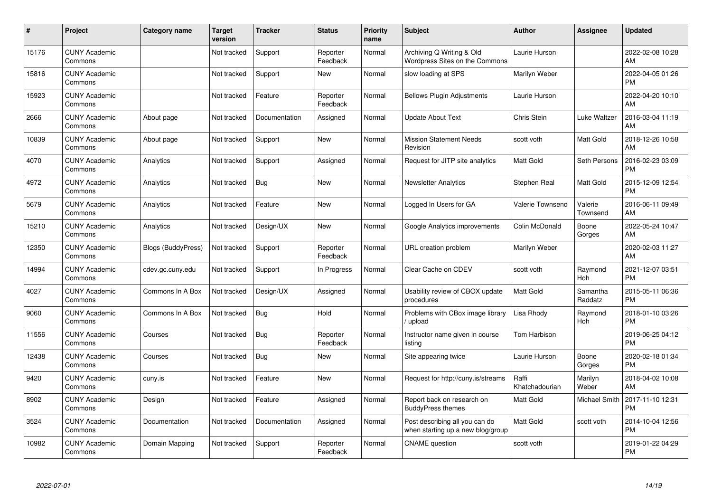| #     | Project                         | <b>Category name</b>      | <b>Target</b><br>version | <b>Tracker</b> | <b>Status</b>        | <b>Priority</b><br>name | <b>Subject</b>                                                      | <b>Author</b>           | <b>Assignee</b>     | <b>Updated</b>                |
|-------|---------------------------------|---------------------------|--------------------------|----------------|----------------------|-------------------------|---------------------------------------------------------------------|-------------------------|---------------------|-------------------------------|
| 15176 | <b>CUNY Academic</b><br>Commons |                           | Not tracked              | Support        | Reporter<br>Feedback | Normal                  | Archiving Q Writing & Old<br>Wordpress Sites on the Commons         | Laurie Hurson           |                     | 2022-02-08 10:28<br>AM        |
| 15816 | <b>CUNY Academic</b><br>Commons |                           | Not tracked              | Support        | New                  | Normal                  | slow loading at SPS                                                 | Marilyn Weber           |                     | 2022-04-05 01:26<br><b>PM</b> |
| 15923 | <b>CUNY Academic</b><br>Commons |                           | Not tracked              | Feature        | Reporter<br>Feedback | Normal                  | <b>Bellows Plugin Adjustments</b>                                   | Laurie Hurson           |                     | 2022-04-20 10:10<br>AM        |
| 2666  | <b>CUNY Academic</b><br>Commons | About page                | Not tracked              | Documentation  | Assigned             | Normal                  | <b>Update About Text</b>                                            | Chris Stein             | Luke Waltzer        | 2016-03-04 11:19<br>AM        |
| 10839 | <b>CUNY Academic</b><br>Commons | About page                | Not tracked              | Support        | New                  | Normal                  | <b>Mission Statement Needs</b><br>Revision                          | scott voth              | Matt Gold           | 2018-12-26 10:58<br>AM        |
| 4070  | <b>CUNY Academic</b><br>Commons | Analytics                 | Not tracked              | Support        | Assigned             | Normal                  | Request for JITP site analytics                                     | <b>Matt Gold</b>        | Seth Persons        | 2016-02-23 03:09<br><b>PM</b> |
| 4972  | <b>CUNY Academic</b><br>Commons | Analytics                 | Not tracked              | Bug            | New                  | Normal                  | <b>Newsletter Analytics</b>                                         | Stephen Real            | Matt Gold           | 2015-12-09 12:54<br><b>PM</b> |
| 5679  | <b>CUNY Academic</b><br>Commons | Analytics                 | Not tracked              | Feature        | New                  | Normal                  | Logged In Users for GA                                              | <b>Valerie Townsend</b> | Valerie<br>Townsend | 2016-06-11 09:49<br>AM        |
| 15210 | <b>CUNY Academic</b><br>Commons | Analytics                 | Not tracked              | Design/UX      | <b>New</b>           | Normal                  | Google Analytics improvements                                       | Colin McDonald          | Boone<br>Gorges     | 2022-05-24 10:47<br>AM        |
| 12350 | <b>CUNY Academic</b><br>Commons | <b>Blogs (BuddyPress)</b> | Not tracked              | Support        | Reporter<br>Feedback | Normal                  | URL creation problem                                                | Marilyn Weber           |                     | 2020-02-03 11:27<br>AM        |
| 14994 | <b>CUNY Academic</b><br>Commons | cdev.gc.cuny.edu          | Not tracked              | Support        | In Progress          | Normal                  | Clear Cache on CDEV                                                 | scott voth              | Raymond<br>Hoh      | 2021-12-07 03:51<br><b>PM</b> |
| 4027  | <b>CUNY Academic</b><br>Commons | Commons In A Box          | Not tracked              | Design/UX      | Assigned             | Normal                  | Usability review of CBOX update<br>procedures                       | <b>Matt Gold</b>        | Samantha<br>Raddatz | 2015-05-11 06:36<br><b>PM</b> |
| 9060  | <b>CUNY Academic</b><br>Commons | Commons In A Box          | Not tracked              | Bug            | Hold                 | Normal                  | Problems with CBox image library<br>/ upload                        | Lisa Rhody              | Raymond<br>Hoh      | 2018-01-10 03:26<br><b>PM</b> |
| 11556 | <b>CUNY Academic</b><br>Commons | Courses                   | Not tracked              | Bug            | Reporter<br>Feedback | Normal                  | Instructor name given in course<br>listing                          | Tom Harbison            |                     | 2019-06-25 04:12<br><b>PM</b> |
| 12438 | <b>CUNY Academic</b><br>Commons | Courses                   | Not tracked              | Bug            | <b>New</b>           | Normal                  | Site appearing twice                                                | Laurie Hurson           | Boone<br>Gorges     | 2020-02-18 01:34<br><b>PM</b> |
| 9420  | <b>CUNY Academic</b><br>Commons | cuny.is                   | Not tracked              | Feature        | New                  | Normal                  | Request for http://cuny.is/streams                                  | Raffi<br>Khatchadourian | Marilyn<br>Weber    | 2018-04-02 10:08<br>AM        |
| 8902  | <b>CUNY Academic</b><br>Commons | Design                    | Not tracked              | Feature        | Assigned             | Normal                  | Report back on research on<br><b>BuddyPress themes</b>              | <b>Matt Gold</b>        | Michael Smith       | 2017-11-10 12:31<br><b>PM</b> |
| 3524  | <b>CUNY Academic</b><br>Commons | Documentation             | Not tracked              | Documentation  | Assigned             | Normal                  | Post describing all you can do<br>when starting up a new blog/group | <b>Matt Gold</b>        | scott voth          | 2014-10-04 12:56<br><b>PM</b> |
| 10982 | <b>CUNY Academic</b><br>Commons | Domain Mapping            | Not tracked              | Support        | Reporter<br>Feedback | Normal                  | <b>CNAME</b> question                                               | scott voth              |                     | 2019-01-22 04:29<br><b>PM</b> |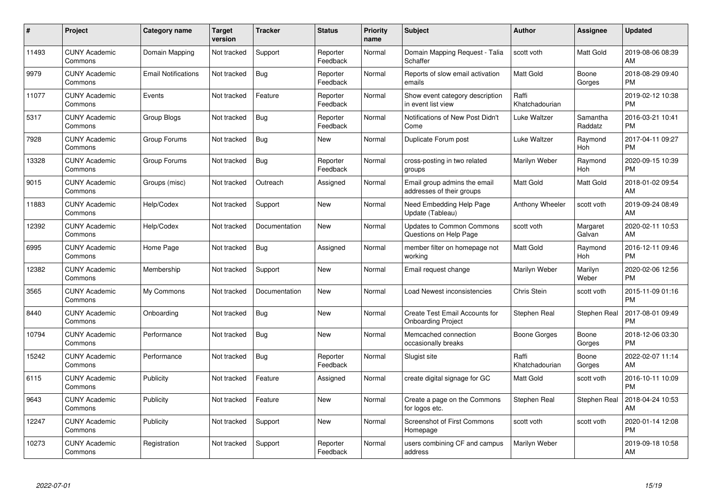| $\#$  | Project                         | <b>Category name</b>       | Target<br>version | <b>Tracker</b> | <b>Status</b>        | Priority<br>name | <b>Subject</b>                                              | <b>Author</b>           | <b>Assignee</b>     | <b>Updated</b>                |
|-------|---------------------------------|----------------------------|-------------------|----------------|----------------------|------------------|-------------------------------------------------------------|-------------------------|---------------------|-------------------------------|
| 11493 | <b>CUNY Academic</b><br>Commons | Domain Mapping             | Not tracked       | Support        | Reporter<br>Feedback | Normal           | Domain Mapping Request - Talia<br>Schaffer                  | scott voth              | Matt Gold           | 2019-08-06 08:39<br>AM        |
| 9979  | <b>CUNY Academic</b><br>Commons | <b>Email Notifications</b> | Not tracked       | Bug            | Reporter<br>Feedback | Normal           | Reports of slow email activation<br>emails                  | <b>Matt Gold</b>        | Boone<br>Gorges     | 2018-08-29 09:40<br><b>PM</b> |
| 11077 | <b>CUNY Academic</b><br>Commons | Events                     | Not tracked       | Feature        | Reporter<br>Feedback | Normal           | Show event category description<br>in event list view       | Raffi<br>Khatchadourian |                     | 2019-02-12 10:38<br><b>PM</b> |
| 5317  | <b>CUNY Academic</b><br>Commons | Group Blogs                | Not tracked       | Bug            | Reporter<br>Feedback | Normal           | Notifications of New Post Didn't<br>Come                    | Luke Waltzer            | Samantha<br>Raddatz | 2016-03-21 10:41<br><b>PM</b> |
| 7928  | <b>CUNY Academic</b><br>Commons | Group Forums               | Not tracked       | <b>Bug</b>     | <b>New</b>           | Normal           | Duplicate Forum post                                        | Luke Waltzer            | Raymond<br>Hoh      | 2017-04-11 09:27<br><b>PM</b> |
| 13328 | <b>CUNY Academic</b><br>Commons | Group Forums               | Not tracked       | Bug            | Reporter<br>Feedback | Normal           | cross-posting in two related<br>groups                      | Marilyn Weber           | Raymond<br>Hoh      | 2020-09-15 10:39<br><b>PM</b> |
| 9015  | <b>CUNY Academic</b><br>Commons | Groups (misc)              | Not tracked       | Outreach       | Assigned             | Normal           | Email group admins the email<br>addresses of their groups   | <b>Matt Gold</b>        | Matt Gold           | 2018-01-02 09:54<br>AM        |
| 11883 | <b>CUNY Academic</b><br>Commons | Help/Codex                 | Not tracked       | Support        | <b>New</b>           | Normal           | Need Embedding Help Page<br>Update (Tableau)                | Anthony Wheeler         | scott voth          | 2019-09-24 08:49<br>AM        |
| 12392 | <b>CUNY Academic</b><br>Commons | Help/Codex                 | Not tracked       | Documentation  | New                  | Normal           | <b>Updates to Common Commons</b><br>Questions on Help Page  | scott voth              | Margaret<br>Galvan  | 2020-02-11 10:53<br>AM        |
| 6995  | <b>CUNY Academic</b><br>Commons | Home Page                  | Not tracked       | Bug            | Assigned             | Normal           | member filter on homepage not<br>working                    | <b>Matt Gold</b>        | Raymond<br>Hoh      | 2016-12-11 09:46<br><b>PM</b> |
| 12382 | <b>CUNY Academic</b><br>Commons | Membership                 | Not tracked       | Support        | New                  | Normal           | Email request change                                        | Marilyn Weber           | Marilyn<br>Weber    | 2020-02-06 12:56<br><b>PM</b> |
| 3565  | <b>CUNY Academic</b><br>Commons | My Commons                 | Not tracked       | Documentation  | New                  | Normal           | Load Newest inconsistencies                                 | Chris Stein             | scott voth          | 2015-11-09 01:16<br><b>PM</b> |
| 8440  | <b>CUNY Academic</b><br>Commons | Onboarding                 | Not tracked       | Bug            | New                  | Normal           | Create Test Email Accounts for<br><b>Onboarding Project</b> | Stephen Real            | Stephen Real        | 2017-08-01 09:49<br><b>PM</b> |
| 10794 | <b>CUNY Academic</b><br>Commons | Performance                | Not tracked       | Bug            | New                  | Normal           | Memcached connection<br>occasionally breaks                 | Boone Gorges            | Boone<br>Gorges     | 2018-12-06 03:30<br><b>PM</b> |
| 15242 | <b>CUNY Academic</b><br>Commons | Performance                | Not tracked       | Bug            | Reporter<br>Feedback | Normal           | Slugist site                                                | Raffi<br>Khatchadourian | Boone<br>Gorges     | 2022-02-07 11:14<br>AM        |
| 6115  | <b>CUNY Academic</b><br>Commons | Publicity                  | Not tracked       | Feature        | Assigned             | Normal           | create digital signage for GC                               | Matt Gold               | scott voth          | 2016-10-11 10:09<br><b>PM</b> |
| 9643  | <b>CUNY Academic</b><br>Commons | Publicity                  | Not tracked       | Feature        | New                  | Normal           | Create a page on the Commons<br>for logos etc.              | Stephen Real            | Stephen Real        | 2018-04-24 10:53<br>AM        |
| 12247 | <b>CUNY Academic</b><br>Commons | Publicity                  | Not tracked       | Support        | New                  | Normal           | Screenshot of First Commons<br>Homepage                     | scott voth              | scott voth          | 2020-01-14 12:08<br><b>PM</b> |
| 10273 | <b>CUNY Academic</b><br>Commons | Registration               | Not tracked       | Support        | Reporter<br>Feedback | Normal           | users combining CF and campus<br>address                    | Marilyn Weber           |                     | 2019-09-18 10:58<br>AM        |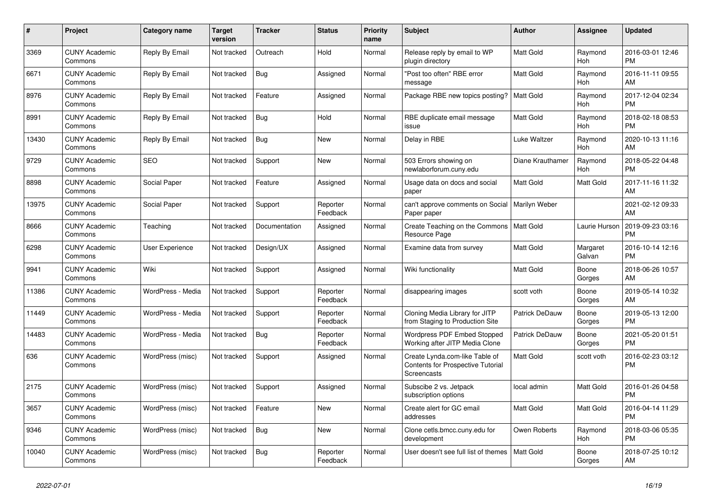| #     | <b>Project</b>                  | <b>Category name</b>   | Target<br>version | <b>Tracker</b> | <b>Status</b>        | <b>Priority</b><br>name | <b>Subject</b>                                                                            | <b>Author</b>         | Assignee              | <b>Updated</b>                |
|-------|---------------------------------|------------------------|-------------------|----------------|----------------------|-------------------------|-------------------------------------------------------------------------------------------|-----------------------|-----------------------|-------------------------------|
| 3369  | <b>CUNY Academic</b><br>Commons | Reply By Email         | Not tracked       | Outreach       | Hold                 | Normal                  | Release reply by email to WP<br>plugin directory                                          | <b>Matt Gold</b>      | Raymond<br><b>Hoh</b> | 2016-03-01 12:46<br><b>PM</b> |
| 6671  | <b>CUNY Academic</b><br>Commons | Reply By Email         | Not tracked       | Bug            | Assigned             | Normal                  | "Post too often" RBE error<br>message                                                     | <b>Matt Gold</b>      | Raymond<br>Hoh        | 2016-11-11 09:55<br>AM        |
| 8976  | <b>CUNY Academic</b><br>Commons | Reply By Email         | Not tracked       | Feature        | Assigned             | Normal                  | Package RBE new topics posting?                                                           | Matt Gold             | Raymond<br>Hoh        | 2017-12-04 02:34<br><b>PM</b> |
| 8991  | <b>CUNY Academic</b><br>Commons | Reply By Email         | Not tracked       | <b>Bug</b>     | Hold                 | Normal                  | RBE duplicate email message<br>issue                                                      | Matt Gold             | Raymond<br>Hoh        | 2018-02-18 08:53<br><b>PM</b> |
| 13430 | <b>CUNY Academic</b><br>Commons | Reply By Email         | Not tracked       | <b>Bug</b>     | New                  | Normal                  | Delay in RBE                                                                              | Luke Waltzer          | Raymond<br>Hoh        | 2020-10-13 11:16<br>AM        |
| 9729  | <b>CUNY Academic</b><br>Commons | <b>SEO</b>             | Not tracked       | Support        | New                  | Normal                  | 503 Errors showing on<br>newlaborforum.cuny.edu                                           | Diane Krauthamer      | Raymond<br>Hoh        | 2018-05-22 04:48<br><b>PM</b> |
| 8898  | <b>CUNY Academic</b><br>Commons | Social Paper           | Not tracked       | Feature        | Assigned             | Normal                  | Usage data on docs and social<br>paper                                                    | <b>Matt Gold</b>      | <b>Matt Gold</b>      | 2017-11-16 11:32<br>AM        |
| 13975 | <b>CUNY Academic</b><br>Commons | Social Paper           | Not tracked       | Support        | Reporter<br>Feedback | Normal                  | can't approve comments on Social<br>Paper paper                                           | Marilyn Weber         |                       | 2021-02-12 09:33<br>AM        |
| 8666  | <b>CUNY Academic</b><br>Commons | Teaching               | Not tracked       | Documentation  | Assigned             | Normal                  | Create Teaching on the Commons<br>Resource Page                                           | <b>Matt Gold</b>      | Laurie Hurson         | 2019-09-23 03:16<br><b>PM</b> |
| 6298  | <b>CUNY Academic</b><br>Commons | <b>User Experience</b> | Not tracked       | Design/UX      | Assigned             | Normal                  | Examine data from survey                                                                  | <b>Matt Gold</b>      | Margaret<br>Galvan    | 2016-10-14 12:16<br><b>PM</b> |
| 9941  | <b>CUNY Academic</b><br>Commons | Wiki                   | Not tracked       | Support        | Assigned             | Normal                  | Wiki functionality                                                                        | <b>Matt Gold</b>      | Boone<br>Gorges       | 2018-06-26 10:57<br>AM.       |
| 11386 | <b>CUNY Academic</b><br>Commons | WordPress - Media      | Not tracked       | Support        | Reporter<br>Feedback | Normal                  | disappearing images                                                                       | scott voth            | Boone<br>Gorges       | 2019-05-14 10:32<br>AM        |
| 11449 | <b>CUNY Academic</b><br>Commons | WordPress - Media      | Not tracked       | Support        | Reporter<br>Feedback | Normal                  | Cloning Media Library for JITP<br>from Staging to Production Site                         | Patrick DeDauw        | Boone<br>Gorges       | 2019-05-13 12:00<br><b>PM</b> |
| 14483 | <b>CUNY Academic</b><br>Commons | WordPress - Media      | Not tracked       | Bug            | Reporter<br>Feedback | Normal                  | Wordpress PDF Embed Stopped<br>Working after JITP Media Clone                             | <b>Patrick DeDauw</b> | Boone<br>Gorges       | 2021-05-20 01:51<br><b>PM</b> |
| 636   | <b>CUNY Academic</b><br>Commons | WordPress (misc)       | Not tracked       | Support        | Assigned             | Normal                  | Create Lynda.com-like Table of<br><b>Contents for Prospective Tutorial</b><br>Screencasts | Matt Gold             | scott voth            | 2016-02-23 03:12<br>PM        |
| 2175  | <b>CUNY Academic</b><br>Commons | WordPress (misc)       | Not tracked       | Support        | Assigned             | Normal                  | Subscibe 2 vs. Jetpack<br>subscription options                                            | local admin           | <b>Matt Gold</b>      | 2016-01-26 04:58<br><b>PM</b> |
| 3657  | <b>CUNY Academic</b><br>Commons | WordPress (misc)       | Not tracked       | Feature        | <b>New</b>           | Normal                  | Create alert for GC email<br>addresses                                                    | <b>Matt Gold</b>      | <b>Matt Gold</b>      | 2016-04-14 11:29<br><b>PM</b> |
| 9346  | <b>CUNY Academic</b><br>Commons | WordPress (misc)       | Not tracked       | Bug            | New                  | Normal                  | Clone cetls.bmcc.cuny.edu for<br>development                                              | Owen Roberts          | Raymond<br>Hoh        | 2018-03-06 05:35<br><b>PM</b> |
| 10040 | <b>CUNY Academic</b><br>Commons | WordPress (misc)       | Not tracked       | <b>Bug</b>     | Reporter<br>Feedback | Normal                  | User doesn't see full list of themes                                                      | <b>Matt Gold</b>      | Boone<br>Gorges       | 2018-07-25 10:12<br>AM        |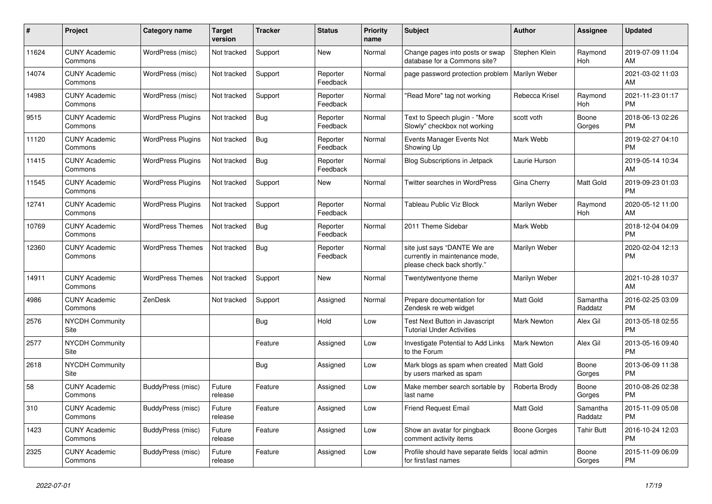| $\pmb{\#}$ | <b>Project</b>                        | Category name            | <b>Target</b><br>version | <b>Tracker</b> | <b>Status</b>        | <b>Priority</b><br>name | <b>Subject</b>                                                                                | <b>Author</b>      | Assignee            | <b>Updated</b>                |
|------------|---------------------------------------|--------------------------|--------------------------|----------------|----------------------|-------------------------|-----------------------------------------------------------------------------------------------|--------------------|---------------------|-------------------------------|
| 11624      | <b>CUNY Academic</b><br>Commons       | WordPress (misc)         | Not tracked              | Support        | New                  | Normal                  | Change pages into posts or swap<br>database for a Commons site?                               | Stephen Klein      | Raymond<br>Hoh      | 2019-07-09 11:04<br>AM        |
| 14074      | <b>CUNY Academic</b><br>Commons       | WordPress (misc)         | Not tracked              | Support        | Reporter<br>Feedback | Normal                  | page password protection problem                                                              | Marilyn Weber      |                     | 2021-03-02 11:03<br>AM        |
| 14983      | <b>CUNY Academic</b><br>Commons       | WordPress (misc)         | Not tracked              | Support        | Reporter<br>Feedback | Normal                  | "Read More" tag not working                                                                   | Rebecca Krisel     | Raymond<br>Hoh      | 2021-11-23 01:17<br><b>PM</b> |
| 9515       | <b>CUNY Academic</b><br>Commons       | <b>WordPress Plugins</b> | Not tracked              | <b>Bug</b>     | Reporter<br>Feedback | Normal                  | Text to Speech plugin - "More<br>Slowly" checkbox not working                                 | scott voth         | Boone<br>Gorges     | 2018-06-13 02:26<br><b>PM</b> |
| 11120      | <b>CUNY Academic</b><br>Commons       | <b>WordPress Plugins</b> | Not tracked              | <b>Bug</b>     | Reporter<br>Feedback | Normal                  | Events Manager Events Not<br>Showing Up                                                       | Mark Webb          |                     | 2019-02-27 04:10<br><b>PM</b> |
| 11415      | <b>CUNY Academic</b><br>Commons       | <b>WordPress Plugins</b> | Not tracked              | Bug            | Reporter<br>Feedback | Normal                  | Blog Subscriptions in Jetpack                                                                 | Laurie Hurson      |                     | 2019-05-14 10:34<br>AM        |
| 11545      | <b>CUNY Academic</b><br>Commons       | <b>WordPress Plugins</b> | Not tracked              | Support        | <b>New</b>           | Normal                  | <b>Twitter searches in WordPress</b>                                                          | Gina Cherry        | Matt Gold           | 2019-09-23 01:03<br><b>PM</b> |
| 12741      | <b>CUNY Academic</b><br>Commons       | <b>WordPress Plugins</b> | Not tracked              | Support        | Reporter<br>Feedback | Normal                  | Tableau Public Viz Block                                                                      | Marilyn Weber      | Raymond<br>Hoh      | 2020-05-12 11:00<br>AM        |
| 10769      | <b>CUNY Academic</b><br>Commons       | <b>WordPress Themes</b>  | Not tracked              | <b>Bug</b>     | Reporter<br>Feedback | Normal                  | 2011 Theme Sidebar                                                                            | Mark Webb          |                     | 2018-12-04 04:09<br><b>PM</b> |
| 12360      | <b>CUNY Academic</b><br>Commons       | <b>WordPress Themes</b>  | Not tracked              | <b>Bug</b>     | Reporter<br>Feedback | Normal                  | site just says "DANTE We are<br>currently in maintenance mode,<br>please check back shortly." | Marilyn Weber      |                     | 2020-02-04 12:13<br><b>PM</b> |
| 14911      | <b>CUNY Academic</b><br>Commons       | <b>WordPress Themes</b>  | Not tracked              | Support        | New                  | Normal                  | Twentytwentyone theme                                                                         | Marilyn Weber      |                     | 2021-10-28 10:37<br>AM        |
| 4986       | <b>CUNY Academic</b><br>Commons       | ZenDesk                  | Not tracked              | Support        | Assigned             | Normal                  | Prepare documentation for<br>Zendesk re web widget                                            | <b>Matt Gold</b>   | Samantha<br>Raddatz | 2016-02-25 03:09<br><b>PM</b> |
| 2576       | <b>NYCDH Community</b><br><b>Site</b> |                          |                          | Bug            | Hold                 | Low                     | Test Next Button in Javascript<br><b>Tutorial Under Activities</b>                            | <b>Mark Newton</b> | Alex Gil            | 2013-05-18 02:55<br><b>PM</b> |
| 2577       | <b>NYCDH Community</b><br>Site        |                          |                          | Feature        | Assigned             | Low                     | Investigate Potential to Add Links<br>to the Forum                                            | Mark Newton        | Alex Gil            | 2013-05-16 09:40<br><b>PM</b> |
| 2618       | <b>NYCDH Community</b><br>Site        |                          |                          | Bug            | Assigned             | Low                     | Mark blogs as spam when created   Matt Gold<br>by users marked as spam                        |                    | Boone<br>Gorges     | 2013-06-09 11:38<br><b>PM</b> |
| 58         | <b>CUNY Academic</b><br>Commons       | BuddyPress (misc)        | Future<br>release        | Feature        | Assigned             | Low                     | Make member search sortable by<br>last name                                                   | Roberta Brody      | Boone<br>Gorges     | 2010-08-26 02:38<br><b>PM</b> |
| 310        | <b>CUNY Academic</b><br>Commons       | BuddyPress (misc)        | Future<br>release        | Feature        | Assigned             | Low                     | <b>Friend Request Email</b>                                                                   | Matt Gold          | Samantha<br>Raddatz | 2015-11-09 05:08<br><b>PM</b> |
| 1423       | <b>CUNY Academic</b><br>Commons       | BuddyPress (misc)        | Future<br>release        | Feature        | Assigned             | Low                     | Show an avatar for pingback<br>comment activity items                                         | Boone Gorges       | Tahir Butt          | 2016-10-24 12:03<br><b>PM</b> |
| 2325       | <b>CUNY Academic</b><br>Commons       | BuddyPress (misc)        | Future<br>release        | Feature        | Assigned             | Low                     | Profile should have separate fields<br>for first/last names                                   | local admin        | Boone<br>Gorges     | 2015-11-09 06:09<br><b>PM</b> |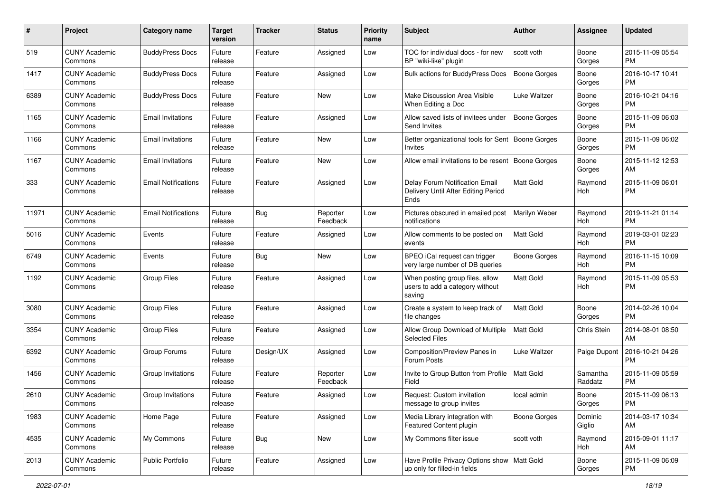| #     | Project                         | <b>Category name</b>       | <b>Target</b><br>version | <b>Tracker</b> | <b>Status</b>        | Priority<br>name | <b>Subject</b>                                                                | Author              | <b>Assignee</b>     | <b>Updated</b>                |
|-------|---------------------------------|----------------------------|--------------------------|----------------|----------------------|------------------|-------------------------------------------------------------------------------|---------------------|---------------------|-------------------------------|
| 519   | <b>CUNY Academic</b><br>Commons | <b>BuddyPress Docs</b>     | Future<br>release        | Feature        | Assigned             | Low              | TOC for individual docs - for new<br>BP "wiki-like" plugin                    | scott voth          | Boone<br>Gorges     | 2015-11-09 05:54<br><b>PM</b> |
| 1417  | <b>CUNY Academic</b><br>Commons | <b>BuddyPress Docs</b>     | Future<br>release        | Feature        | Assigned             | Low              | <b>Bulk actions for BuddyPress Docs</b>                                       | <b>Boone Gorges</b> | Boone<br>Gorges     | 2016-10-17 10:41<br><b>PM</b> |
| 6389  | <b>CUNY Academic</b><br>Commons | <b>BuddyPress Docs</b>     | Future<br>release        | Feature        | New                  | Low              | Make Discussion Area Visible<br>When Editing a Doc                            | Luke Waltzer        | Boone<br>Gorges     | 2016-10-21 04:16<br><b>PM</b> |
| 1165  | <b>CUNY Academic</b><br>Commons | <b>Email Invitations</b>   | Future<br>release        | Feature        | Assigned             | Low              | Allow saved lists of invitees under<br>Send Invites                           | Boone Gorges        | Boone<br>Gorges     | 2015-11-09 06:03<br><b>PM</b> |
| 1166  | <b>CUNY Academic</b><br>Commons | <b>Email Invitations</b>   | Future<br>release        | Feature        | New                  | Low              | Better organizational tools for Sent   Boone Gorges<br>Invites                |                     | Boone<br>Gorges     | 2015-11-09 06:02<br><b>PM</b> |
| 1167  | <b>CUNY Academic</b><br>Commons | <b>Email Invitations</b>   | Future<br>release        | Feature        | New                  | Low              | Allow email invitations to be resent   Boone Gorges                           |                     | Boone<br>Gorges     | 2015-11-12 12:53<br>AM        |
| 333   | <b>CUNY Academic</b><br>Commons | <b>Email Notifications</b> | Future<br>release        | Feature        | Assigned             | Low              | Delay Forum Notification Email<br>Delivery Until After Editing Period<br>Ends | <b>Matt Gold</b>    | Raymond<br>Hoh      | 2015-11-09 06:01<br><b>PM</b> |
| 11971 | <b>CUNY Academic</b><br>Commons | <b>Email Notifications</b> | Future<br>release        | Bug            | Reporter<br>Feedback | Low              | Pictures obscured in emailed post<br>notifications                            | Marilyn Weber       | Raymond<br>Hoh      | 2019-11-21 01:14<br><b>PM</b> |
| 5016  | <b>CUNY Academic</b><br>Commons | Events                     | Future<br>release        | Feature        | Assigned             | Low              | Allow comments to be posted on<br>events                                      | <b>Matt Gold</b>    | Raymond<br>Hoh      | 2019-03-01 02:23<br><b>PM</b> |
| 6749  | <b>CUNY Academic</b><br>Commons | Events                     | Future<br>release        | <b>Bug</b>     | New                  | Low              | BPEO iCal request can trigger<br>very large number of DB queries              | <b>Boone Gorges</b> | Raymond<br>Hoh      | 2016-11-15 10:09<br><b>PM</b> |
| 1192  | <b>CUNY Academic</b><br>Commons | <b>Group Files</b>         | Future<br>release        | Feature        | Assigned             | Low              | When posting group files, allow<br>users to add a category without<br>saving  | Matt Gold           | Raymond<br>Hoh      | 2015-11-09 05:53<br><b>PM</b> |
| 3080  | <b>CUNY Academic</b><br>Commons | <b>Group Files</b>         | Future<br>release        | Feature        | Assigned             | Low              | Create a system to keep track of<br>file changes                              | <b>Matt Gold</b>    | Boone<br>Gorges     | 2014-02-26 10:04<br><b>PM</b> |
| 3354  | <b>CUNY Academic</b><br>Commons | <b>Group Files</b>         | Future<br>release        | Feature        | Assigned             | Low              | Allow Group Download of Multiple<br><b>Selected Files</b>                     | Matt Gold           | Chris Stein         | 2014-08-01 08:50<br>AM        |
| 6392  | <b>CUNY Academic</b><br>Commons | Group Forums               | Future<br>release        | Design/UX      | Assigned             | Low              | Composition/Preview Panes in<br>Forum Posts                                   | Luke Waltzer        | Paige Dupont        | 2016-10-21 04:26<br><b>PM</b> |
| 1456  | <b>CUNY Academic</b><br>Commons | Group Invitations          | Future<br>release        | Feature        | Reporter<br>Feedback | Low              | Invite to Group Button from Profile   Matt Gold<br>Field                      |                     | Samantha<br>Raddatz | 2015-11-09 05:59<br><b>PM</b> |
| 2610  | <b>CUNY Academic</b><br>Commons | Group Invitations          | Future<br>release        | Feature        | Assigned             | Low              | Request: Custom invitation<br>message to group invites                        | local admin         | Boone<br>Gorges     | 2015-11-09 06:13<br>PM        |
| 1983  | <b>CUNY Academic</b><br>Commons | Home Page                  | Future<br>release        | Feature        | Assigned             | Low              | Media Library integration with<br>Featured Content plugin                     | Boone Gorges        | Dominic<br>Giglio   | 2014-03-17 10:34<br>AM        |
| 4535  | <b>CUNY Academic</b><br>Commons | My Commons                 | Future<br>release        | <b>Bug</b>     | New                  | Low              | My Commons filter issue                                                       | scott voth          | Raymond<br>Hoh      | 2015-09-01 11:17<br>AM        |
| 2013  | <b>CUNY Academic</b><br>Commons | Public Portfolio           | Future<br>release        | Feature        | Assigned             | Low              | Have Profile Privacy Options show   Matt Gold<br>up only for filled-in fields |                     | Boone<br>Gorges     | 2015-11-09 06:09<br><b>PM</b> |